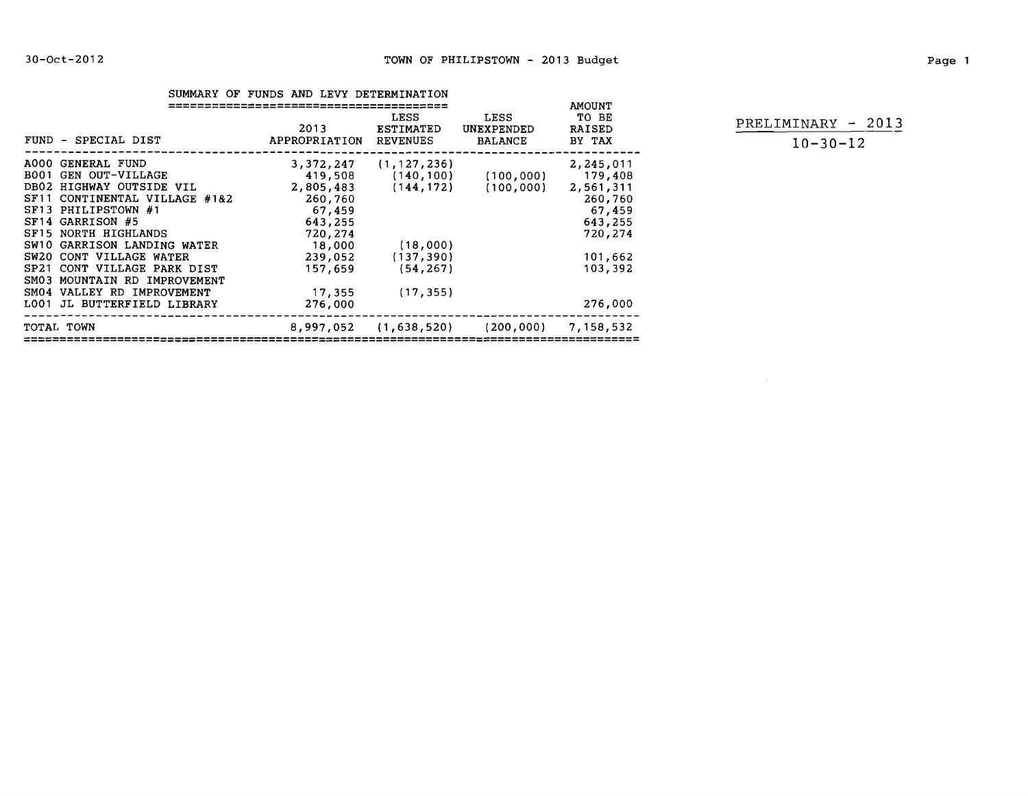|                                                                                                                                                                                                                                                                                                                                                                        | SUMMARY OF FUNDS AND LEVY DETERMINATION                                                      |                                                                                                    |                                             | <b>AMOUNT</b>                                                                                                 |                                 |
|------------------------------------------------------------------------------------------------------------------------------------------------------------------------------------------------------------------------------------------------------------------------------------------------------------------------------------------------------------------------|----------------------------------------------------------------------------------------------|----------------------------------------------------------------------------------------------------|---------------------------------------------|---------------------------------------------------------------------------------------------------------------|---------------------------------|
| FUND - SPECIAL DIST                                                                                                                                                                                                                                                                                                                                                    | 2013<br>APPROPRIATION REVENUES                                                               | LESS<br>ESTIMATED                                                                                  | LESS<br>UNEXPENDED<br><b>BALANCE</b>        | TO BE<br><b>RAISED</b><br>BY TAX                                                                              | PRELIMINARY -<br>$10 - 30 - 12$ |
| A000 GENERAL FUND<br><b>BOO1 GEN OUT-VILLAGE</b><br>DB02 HIGHWAY OUTSIDE VIL<br>SF11 CONTINENTAL VILLAGE #1&2<br>SF13 PHILIPSTOWN #1<br>SF14 GARRISON #5<br>SF15 NORTH HIGHLANDS<br>SW10 GARRISON LANDING WATER<br>SW20 CONT VILLAGE WATER<br>SP21 CONT VILLAGE PARK DIST<br>SM03 MOUNTAIN RD IMPROVEMENT<br>SM04 VALLEY RD IMPROVEMENT<br>LOO1 JL BUTTERFIELD LIBRARY | 260,760<br>67,459<br>643,255<br>720,274<br>18,000<br>239,052<br>157,659<br>17,355<br>276,000 | $3,372,247$ $(1,127,236)$<br>419,508 (140,100)<br>(18,000)<br>(137, 390)<br>(54, 267)<br>(17, 355) | (100, 000)<br>2,805,483 (144,172) (100,000) | 2,245,011<br>179,408<br>2,561,311<br>260,760<br>67,459<br>643,255<br>720,274<br>101,662<br>103,392<br>276,000 |                                 |
| TOTAL TOWN                                                                                                                                                                                                                                                                                                                                                             |                                                                                              | 8,997,052 (1,638,520)                                                                              | (200,000)                                   | 7,158,532                                                                                                     |                                 |

RAISED PRELIMINARY **-** 2013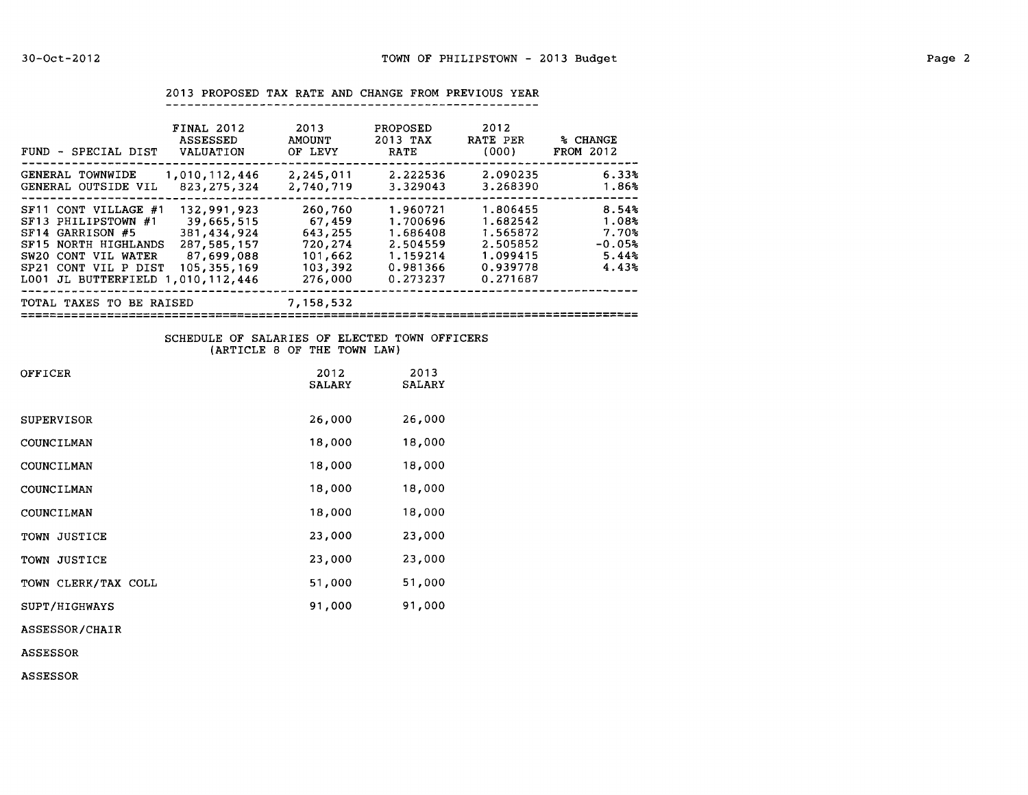2013 PROPOSED TAX RATE AND CHANGE FROM PREVIOUS YEAR

| FINAL 2012<br><b>ASSESSED</b><br>FUND - SPECIAL DIST<br>VALUATION                                                                                                                                                                                                                        | 2013<br><b>AMOUNT</b><br>OF LEVY                                         | <b>PROPOSED</b><br>2013 TAX<br><b>RATE</b>                                       | 2012<br>RATE PER<br>(000)                                                        | % CHANGE<br><b>FROM 2012</b>                                      |
|------------------------------------------------------------------------------------------------------------------------------------------------------------------------------------------------------------------------------------------------------------------------------------------|--------------------------------------------------------------------------|----------------------------------------------------------------------------------|----------------------------------------------------------------------------------|-------------------------------------------------------------------|
| 1,010,112,446<br>GENERAL TOWNWIDE<br>823, 275, 324<br>GENERAL OUTSIDE VIL                                                                                                                                                                                                                | 2,245,011<br>2,740,719                                                   | 2.222536<br>3.329043                                                             | 2.090235<br>3.268390                                                             | 6.33%<br>1.86%                                                    |
| 132,991,923<br>SF11 CONT VILLAGE #1<br>39,665,515<br>SF13 PHILIPSTOWN #1<br>SF14 GARRISON #5<br>381,434,924<br>287,585,157<br>SF15 NORTH HIGHLANDS<br>87,699,088<br>CONT VIL WATER<br>SW20<br>105,355,169<br>SP <sub>21</sub><br>CONT VIL P DIST<br>JL BUTTERFIELD 1.010.112.446<br>LOO1 | 260,760<br>67,459<br>643,255<br>720,274<br>101,662<br>103,392<br>276,000 | 1.960721<br>1.700696<br>1.686408<br>2.504559<br>1.159214<br>0.981366<br>0.273237 | 1.806455<br>1.682542<br>1.565872<br>2.505852<br>1.099415<br>0.939778<br>0.271687 | 8.54%<br>1.08 <sub>5</sub><br>7.70%<br>$-0.05%$<br>5.44%<br>4.43% |
| TOTAL TAXES TO BE RAISED                                                                                                                                                                                                                                                                 | 7,158,532                                                                |                                                                                  |                                                                                  |                                                                   |

## SCHEDULE OF SALARIES OF ELECTED TOWN OFFICERS (ARTICLE 8 OF THE TOWN LAW)

| OFFICER             | 2012<br><b>SALARY</b> | 2013<br><b>SALARY</b> |
|---------------------|-----------------------|-----------------------|
| SUPERVISOR          | 26,000                | 26,000                |
| COUNCILMAN          | 18,000                | 18,000                |
| COUNCILMAN          | 18,000                | 18,000                |
| COUNCILMAN          | 18,000                | 18,000                |
| COUNCILMAN          | 18,000                | 18,000                |
| TOWN JUSTICE        | 23,000                | 23,000                |
| TOWN JUSTICE        | 23,000                | 23,000                |
| TOWN CLERK/TAX COLL | 51,000                | 51,000                |
| SUPT/HIGHWAYS       | 91,000                | 91,000                |
| ASSESSOR/CHAIR      |                       |                       |

ASSESSOR

ASSESSOR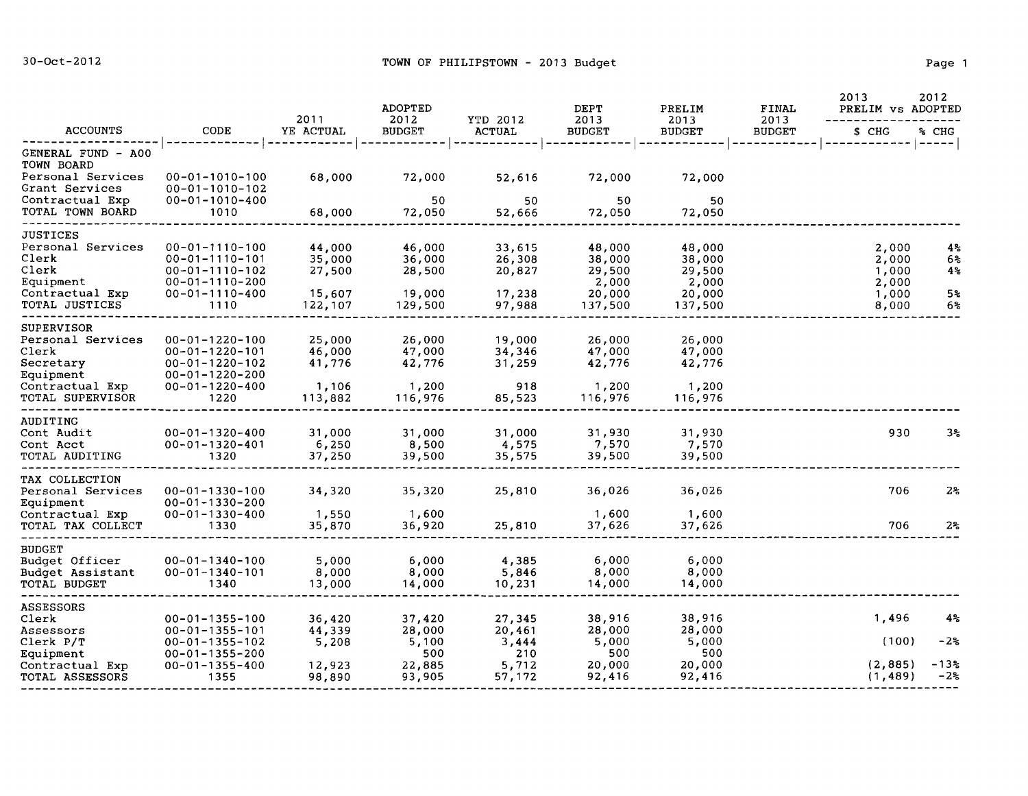|                                                    |                                                                            | 2011                     | <b>ADOPTED</b><br>2012   | YTD 2012                 | DEPT<br>2013              | PRELIM<br>2013            | FINAL<br>2013 | 2013<br>PRELIM vs ADOPTED | 2012           |
|----------------------------------------------------|----------------------------------------------------------------------------|--------------------------|--------------------------|--------------------------|---------------------------|---------------------------|---------------|---------------------------|----------------|
| <b>ACCOUNTS</b>                                    | CODE                                                                       | YE ACTUAL                | <b>BUDGET</b>            | <b>ACTUAL</b>            | <b>BUDGET</b>             | <b>BUDGET</b>             | <b>BUDGET</b> | \$ CHG                    | % CHG          |
| GENERAL FUND - A00<br>TOWN BOARD                   |                                                                            |                          |                          |                          |                           |                           |               |                           | $- - - - -$    |
| Personal Services<br>Grant Services                | $00 - 01 - 1010 - 100$<br>$00 - 01 - 1010 - 102$                           | 68,000                   | 72,000                   | 52,616                   | 72,000                    | 72,000                    |               |                           |                |
| Contractual Exp<br>TOTAL TOWN BOARD                | $00 - 01 - 1010 - 400$<br>1010                                             | 68,000                   | 50<br>72,050             | 50<br>52,666             | 50<br>72,050              | 50<br>72,050              |               |                           |                |
| <b>JUSTICES</b>                                    |                                                                            |                          |                          |                          |                           |                           |               |                           |                |
| Personal Services<br>Clerk                         | $00 - 01 - 1110 - 100$<br>$00 - 01 - 1110 - 101$                           | 44,000<br>35,000         | 46,000<br>36,000         | 33,615<br>26,308         | 48,000<br>38,000          | 48,000<br>38,000          |               | 2,000<br>2,000            | 4%<br>6%       |
| Clerk<br>Equipment<br>Contractual Exp              | $00 - 01 - 1110 - 102$<br>$00 - 01 - 1110 - 200$<br>$00 - 01 - 1110 - 400$ | 27,500<br>15,607         | 28,500<br>19,000         | 20,827<br>17,238         | 29,500<br>2,000<br>20,000 | 29,500<br>2,000<br>20,000 |               | 1,000<br>2,000<br>1,000   | 4%<br>5%       |
| TOTAL JUSTICES                                     | 1110                                                                       | 122,107                  | 129,500                  | 97,988                   | 137,500                   | 137,500                   |               | 8,000                     | 6%             |
| SUPERVISOR<br>Personal Services                    | $00 - 01 - 1220 - 100$                                                     | 25,000                   | 26,000                   | 19,000                   | 26,000                    | 26,000                    |               |                           |                |
| Clerk<br>Secretary<br>Equipment                    | $00 - 01 - 1220 - 101$<br>$00 - 01 - 1220 - 102$<br>$00 - 01 - 1220 - 200$ | 46,000<br>41,776         | 47,000<br>42,776         | 34,346<br>31,259         | 47,000<br>42,776          | 47,000<br>42,776          |               |                           |                |
| Contractual Exp<br>TOTAL SUPERVISOR                | $00 - 01 - 1220 - 400$<br>1220                                             | 1,106<br>113,882         | 1,200<br>116,976         | 918<br>85,523            | 1,200<br>116,976          | 1,200<br>116,976          |               |                           |                |
| AUDITING                                           |                                                                            |                          |                          |                          |                           |                           |               |                           |                |
| Cont Audit<br>Cont Acct                            | $00 - 01 - 1320 - 400$<br>$00 - 01 - 1320 - 401$                           | 31,000<br>6,250          | 31,000<br>8,500          | 31,000<br>4,575          | 31,930<br>7,570           | 31,930<br>7,570           |               | 930                       | 3%             |
| TOTAL AUDITING                                     | 1320                                                                       | 37,250                   | 39,500                   | 35,575                   | 39,500                    | 39,500                    |               |                           |                |
| TAX COLLECTION<br>Personal Services<br>Equipment   | $00 - 01 - 1330 - 100$<br>$00 - 01 - 1330 - 200$                           | 34,320                   | 35,320                   | 25,810                   | 36,026                    | 36,026                    |               | 706                       | 2%             |
| Contractual Exp<br>TOTAL TAX COLLECT               | $00 - 01 - 1330 - 400$<br>1330                                             | 1,550<br>35,870          | 1,600<br>36,920          | 25,810                   | 1,600<br>37,626           | 1,600<br>37,626           |               | 706                       | 2 <sup>s</sup> |
| <b>BUDGET</b>                                      |                                                                            |                          |                          |                          |                           |                           |               |                           |                |
| Budget Officer<br>Budget Assistant<br>TOTAL BUDGET | $00 - 01 - 1340 - 100$<br>$00 - 01 - 1340 - 101$<br>1340                   | 5,000<br>8,000<br>13,000 | 6,000<br>8,000<br>14,000 | 4,385<br>5,846<br>10,231 | 6,000<br>8,000<br>14,000  | 6,000<br>8,000<br>14,000  |               |                           |                |
|                                                    |                                                                            |                          |                          |                          |                           |                           |               |                           |                |
| ASSESSORS<br>Clerk                                 | $00 - 01 - 1355 - 100$                                                     | 36,420                   | 37,420                   | 27,345                   | 38,916                    | 38,916                    |               | 1,496                     | 4%             |
| Assessors<br>Clerk P/T                             | $00 - 01 - 1355 - 101$<br>$00 - 01 - 1355 - 102$                           | 44,339<br>5,208          | 28,000<br>5,100<br>500   | 20,461<br>3,444<br>210   | 28,000<br>5,000<br>500    | 28,000<br>5,000<br>500    |               | (100)                     | $-2\%$         |
| Equipment<br>Contractual Exp<br>TOTAL ASSESSORS    | $00 - 01 - 1355 - 200$<br>$00 - 01 - 1355 - 400$<br>1355                   | 12,923<br>98,890         | 22,885<br>93,905         | 5,712<br>57,172          | 20,000<br>92,416          | 20,000<br>92,416          |               | (2, 885)<br>(1, 489)      | -13%<br>$-2\%$ |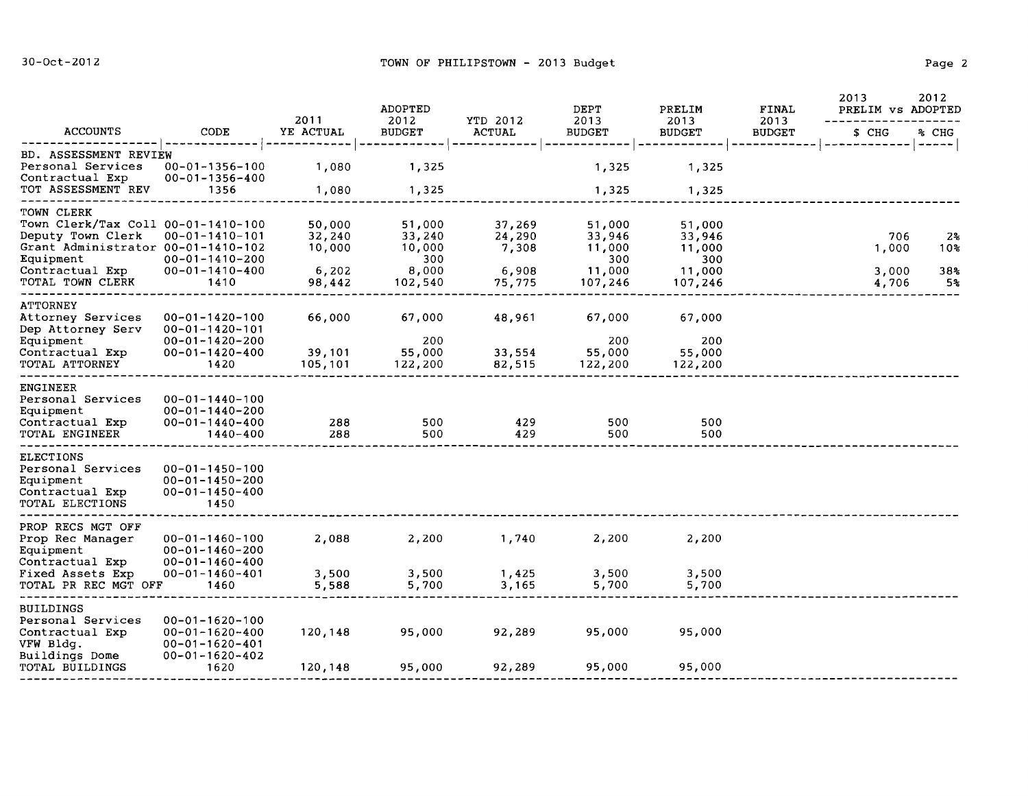|                                                                                                                                                                 |                                                                                                              | 2011                                          | ADOPTED<br>2012                                       | YTD 2012                                     | DEPT<br>2013                                           | PRELIM<br>2013                                         | FINAL<br>2013 | 2013<br>PRELIM vs ADOPTED      | 2012                               |
|-----------------------------------------------------------------------------------------------------------------------------------------------------------------|--------------------------------------------------------------------------------------------------------------|-----------------------------------------------|-------------------------------------------------------|----------------------------------------------|--------------------------------------------------------|--------------------------------------------------------|---------------|--------------------------------|------------------------------------|
| <b>ACCOUNTS</b>                                                                                                                                                 | CODE                                                                                                         | YE ACTUAL                                     | <b>BUDGET</b>                                         | <b>ACTUAL</b>                                | <b>BUDGET</b>                                          | <b>BUDGET</b>                                          | <b>BUDGET</b> | \$ CHG                         | % CHG                              |
| BD. ASSESSMENT REVIEW<br>Personal Services<br>Contractual Exp<br>TOT ASSESSMENT REV                                                                             | 00-01-1356-100<br>00-01-1356-400<br>1356                                                                     | 1,080<br>1,080                                | 1,325<br>1,325                                        |                                              | 1,325<br>1,325                                         | 1,325<br>1,325                                         |               |                                | ------                             |
| TOWN CLERK<br>Town Clerk/Tax Coll 00-01-1410-100<br>Deputy Town Clerk<br>Grant Administrator 00-01-1410-102<br>Equipment<br>Contractual Exp<br>TOTAL TOWN CLERK | $00 - 01 - 1410 - 101$<br>$00 - 01 - 1410 - 200$<br>$00 - 01 - 1410 - 400$<br>1410                           | 50,000<br>32,240<br>10,000<br>6,202<br>98,442 | 51,000<br>33,240<br>10,000<br>300<br>8,000<br>102,540 | 37,269<br>24,290<br>7,308<br>6,908<br>75,775 | 51,000<br>33,946<br>11,000<br>300<br>11,000<br>107,246 | 51,000<br>33,946<br>11,000<br>300<br>11,000<br>107,246 |               | 706<br>1,000<br>3,000<br>4,706 | $2\frac{3}{6}$<br>10%<br>38%<br>5% |
| <b>ATTORNEY</b><br>Attorney Services<br>Dep Attorney Serv<br>Equipment<br>Contractual Exp<br>TOTAL ATTORNEY                                                     | $00 - 01 - 1420 - 100$<br>$00 - 01 - 1420 - 101$<br>$00 - 01 - 1420 - 200$<br>$00 - 01 - 1420 - 400$<br>1420 | 66,000<br>39,101<br>105,101                   | 67,000<br>200<br>55,000<br>122,200                    | 48,961<br>33,554<br>82,515                   | 67,000<br>200<br>55,000<br>122,200                     | 67,000<br>200<br>55,000<br>122,200                     |               |                                |                                    |
| ENGINEER<br>Personal Services<br>Equipment<br>Contractual Exp<br>TOTAL ENGINEER                                                                                 | $00 - 01 - 1440 - 100$<br>$00 - 01 - 1440 - 200$<br>$00 - 01 - 1440 - 400$<br>1440-400                       | 288<br>288                                    | 500<br>500                                            | 429<br>429                                   | 500<br>500                                             | 500<br>500                                             |               |                                |                                    |
| <b>ELECTIONS</b><br>Personal Services<br>Equipment<br>Contractual Exp<br>TOTAL ELECTIONS                                                                        | $00 - 01 - 1450 - 100$<br>$00 - 01 - 1450 - 200$<br>$00 - 01 - 1450 - 400$<br>1450                           |                                               |                                                       |                                              |                                                        |                                                        |               |                                |                                    |
| PROP RECS MGT OFF<br>Prop Rec Manager<br>Equipment<br>Contractual Exp<br>Fixed Assets Exp<br>TOTAL PR REC MGT OFF                                               | $00 - 01 - 1460 - 100$<br>$00 - 01 - 1460 - 200$<br>$00 - 01 - 1460 - 400$<br>$00 - 01 - 1460 - 401$<br>1460 | 2,088<br>3,500<br>5,588                       | 2,200<br>3,500<br>5,700                               | 1,740<br>1,425<br>3,165                      | 2,200<br>3,500<br>5,700                                | 2,200<br>3,500<br>5,700                                |               |                                |                                    |
| BUILDINGS<br>Personal Services<br>Contractual Exp<br>VFW Bldg.<br>Buildings Dome<br>TOTAL BUILDINGS                                                             | $00 - 01 - 1620 - 100$<br>$00 - 01 - 1620 - 400$<br>$00 - 01 - 1620 - 401$<br>$00 - 01 - 1620 - 402$<br>1620 | 120,148<br>120,148                            | 95,000<br>95,000                                      | 92,289<br>92,289                             | 95,000<br>95,000                                       | 95,000<br>95,000                                       |               |                                |                                    |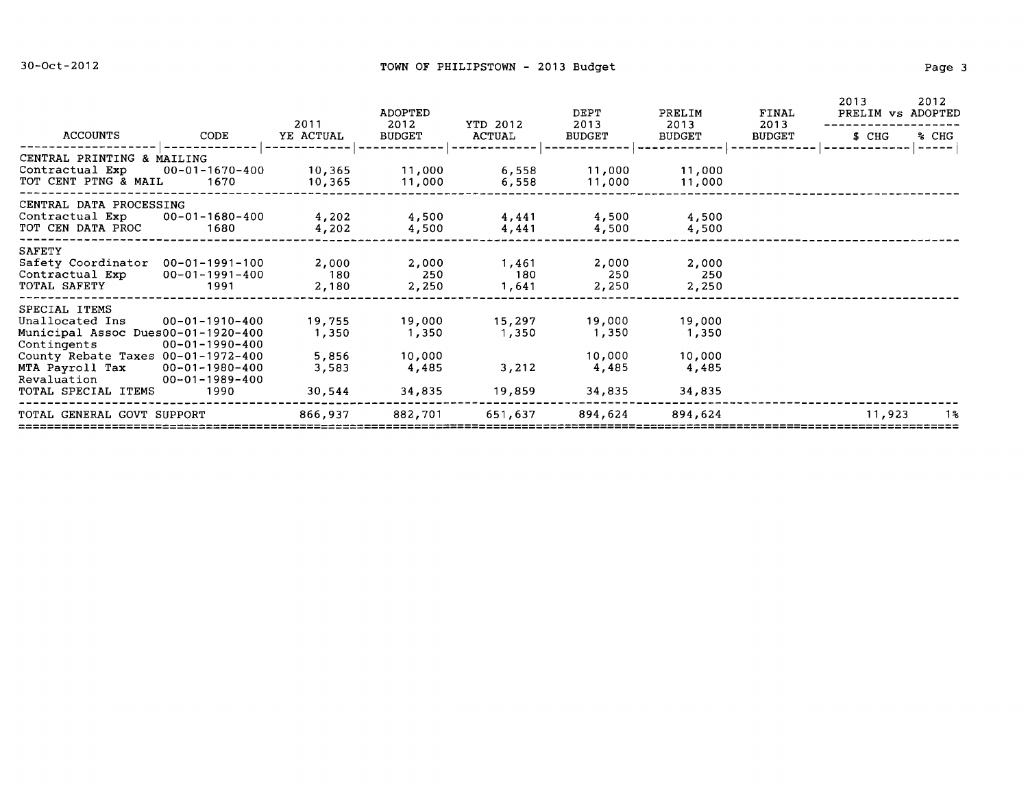|                                                                                                                                                                                                 |                                          | 2011                              | <b>ADOPTED</b><br>2012             | YTD 2012                 | DEPT<br>2013                       | PRELIM<br>2013                     | FINAL<br>2013 | 2013<br>PRELIM vs ADOPTED | 2012                                                                           |
|-------------------------------------------------------------------------------------------------------------------------------------------------------------------------------------------------|------------------------------------------|-----------------------------------|------------------------------------|--------------------------|------------------------------------|------------------------------------|---------------|---------------------------|--------------------------------------------------------------------------------|
| ACCOUNTS                                                                                                                                                                                        | CODE                                     | YE ACTUAL                         | <b>BUDGET</b>                      | ACTUAL                   | <b>BUDGET</b>                      | <b>BUDGET</b>                      | <b>BUDGET</b> | S CHG                     | % CHG<br>$\begin{array}{cccccccccc} \dots & \dots & \dots & \dots \end{array}$ |
| CENTRAL PRINTING & MAILING<br>Contractual $Exp$ 00-01-1670-400<br>TOT CENT PTNG & MAIL 1670                                                                                                     |                                          | 10,365<br>10,365                  | 11,000<br>11,000                   | 6,558<br>6,558           | 11,000<br>11,000                   | 11,000<br>11,000                   |               |                           |                                                                                |
| CENTRAL DATA PROCESSING<br>Contractual $Exp$ 00-01-1680-400<br>TOT CEN DATA PROC                                                                                                                | 1680                                     | 4,202<br>4,202                    | 4,500<br>4,500                     | 4,441<br>4,441           | 4,500<br>4,500                     | 4,500<br>4,500                     |               |                           |                                                                                |
| <b>SAFETY</b><br>Safety Coordinator 00-01-1991-100<br>Contractual Exp<br>TOTAL SAFETY                                                                                                           | $00 - 01 - 1991 - 400$<br>1991           | 2,000<br>180<br>2,180             | 2,000<br>250<br>2,250              | 1,461<br>180<br>1,641    | 2,000<br>250<br>2,250              | 2,000<br>-250<br>2,250             |               |                           |                                                                                |
| SPECIAL ITEMS<br>Unallocated Ins<br>Municipal Assoc Dues00-01-1920-400<br>Contingents $00-01-1990-400$<br>County Rebate Taxes $00-01-1972-400$<br>MTA Payroll Tax 00-01-1980-400<br>Revaluation | 00-01-1910-400<br>$00 - 01 - 1989 - 400$ | 19,755<br>1,350<br>5,856<br>3,583 | 19,000<br>1,350<br>10,000<br>4,485 | 15,297<br>1,350<br>3,212 | 19,000<br>1,350<br>10,000<br>4,485 | 19,000<br>1,350<br>10,000<br>4,485 |               |                           |                                                                                |
| TOTAL SPECIAL ITEMS                                                                                                                                                                             | 1990                                     | 30,544                            | 34,835                             | 19,859                   | 34,835                             | 34,835                             |               |                           |                                                                                |
| TOTAL GENERAL GOVT SUPPORT                                                                                                                                                                      |                                          | 866,937                           | 882,701                            | 651,637                  | 894,624                            | 894,624                            |               | 11,923                    | 1%                                                                             |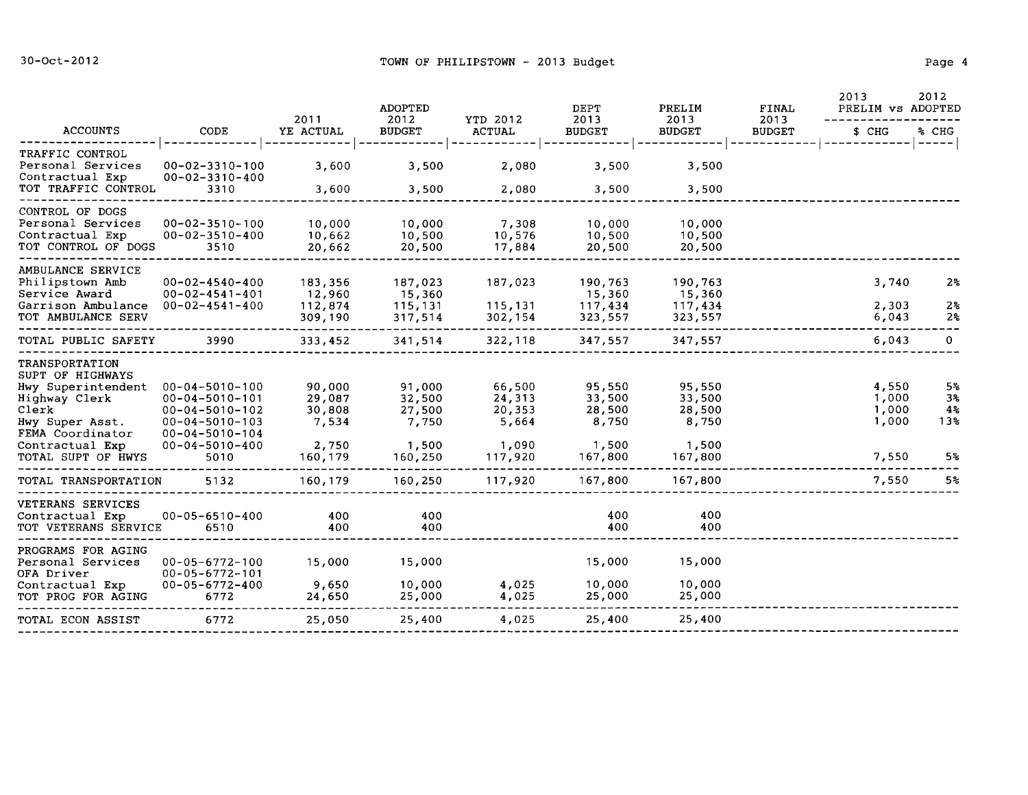|                                                                                                                                                                           |                                                                                                                                                                  | 2011                                                    | <b>ADOPTED</b>                                          |                                                         | <b>DEPT</b>                                             | PRELIM                                                  | <b>FINAL</b>          | 2013<br>PRELIM vs ADOPTED                 | 2012                                                |
|---------------------------------------------------------------------------------------------------------------------------------------------------------------------------|------------------------------------------------------------------------------------------------------------------------------------------------------------------|---------------------------------------------------------|---------------------------------------------------------|---------------------------------------------------------|---------------------------------------------------------|---------------------------------------------------------|-----------------------|-------------------------------------------|-----------------------------------------------------|
| <b>ACCOUNTS</b>                                                                                                                                                           | CODE                                                                                                                                                             | YE ACTUAL                                               | 2012<br><b>BUDGET</b>                                   | YTD 2012<br><b>ACTUAL</b>                               | 2013<br><b>BUDGET</b>                                   | 2013<br><b>BUDGET</b>                                   | 2013<br><b>BUDGET</b> | \$ CHG                                    | % CHG                                               |
| TRAFFIC CONTROL<br>Personal Services<br>Contractual Exp                                                                                                                   | $00 - 02 - 3310 - 100$<br>$00 - 02 - 3310 - 400$                                                                                                                 | 3,600                                                   | 3,500                                                   | 2,080                                                   | 3,500                                                   | 3,500                                                   |                       |                                           | -----                                               |
| TOT TRAFFIC CONTROL                                                                                                                                                       | 3310                                                                                                                                                             | 3,600                                                   | 3,500                                                   | 2,080                                                   | 3,500                                                   | 3,500                                                   |                       |                                           |                                                     |
| CONTROL OF DOGS<br>Personal Services<br>Contractual Exp<br>TOT CONTROL OF DOGS                                                                                            | $00 - 02 - 3510 - 100$<br>$00 - 02 - 3510 - 400$<br>3510                                                                                                         | 10,000<br>10,662<br>20,662                              | 10,000<br>10,500<br>20,500                              | 7,308<br>10,576<br>17,884                               | 10,000<br>10,500<br>20,500                              | 10,000<br>10,500<br>20,500                              |                       |                                           |                                                     |
| AMBULANCE SERVICE<br>Philipstown Amb<br>Service Award<br>Garrison Ambulance<br>TOT AMBULANCE SERV                                                                         | $00 - 02 - 4540 - 400$<br>$00 - 02 - 4541 - 401$<br>$00 - 02 - 4541 - 400$                                                                                       | 183,356<br>12,960<br>112,874<br>309,190                 | 187,023<br>15,360<br>115,131<br>317,514                 | 187,023<br>115,131<br>302,154                           | 190,763<br>15,360<br>117,434<br>323,557                 | 190,763<br>15,360<br>117,434<br>323,557                 |                       | 3,740<br>2,303<br>6,043                   | 2 <sub>5</sub><br>$2\%$<br>2%                       |
| TOTAL PUBLIC SAFETY                                                                                                                                                       | 3990                                                                                                                                                             | 333,452                                                 | 341,514                                                 | 322,118                                                 | 347,557                                                 | 347,557                                                 |                       | 6,043                                     | $\mathbf{0}$                                        |
| <b>TRANSPORTATION</b><br>SUPT OF HIGHWAYS<br>Hwy Superintendent<br>Highway Clerk<br>Clerk<br>Hwy Super Asst.<br>FEMA Coordinator<br>Contractual Exp<br>TOTAL SUPT OF HWYS | $00 - 04 - 5010 - 100$<br>$00 - 04 - 5010 - 101$<br>$00 - 04 - 5010 - 102$<br>$00 - 04 - 5010 - 103$<br>$00 - 04 - 5010 - 104$<br>$00 - 04 - 5010 - 400$<br>5010 | 90,000<br>29,087<br>30,808<br>7,534<br>2,750<br>160,179 | 91,000<br>32,500<br>27,500<br>7,750<br>1,500<br>160,250 | 66,500<br>24,313<br>20,353<br>5,664<br>1,090<br>117,920 | 95,550<br>33,500<br>28,500<br>8,750<br>1,500<br>167,800 | 95,550<br>33,500<br>28,500<br>8,750<br>1,500<br>167,800 |                       | 4,550<br>1,000<br>1,000<br>1,000<br>7,550 | 5 <sup>8</sup><br>3%<br>4 <sub>5</sub><br>13%<br>5% |
| TOTAL TRANSPORTATION                                                                                                                                                      | 5132                                                                                                                                                             | 160,179                                                 | 160,250                                                 | 117,920                                                 | 167,800                                                 | 167,800                                                 |                       | 7,550                                     | 5%                                                  |
| VETERANS SERVICES<br>Contractual Exp<br>TOT VETERANS SERVICE                                                                                                              | $00 - 05 - 6510 - 400$<br>6510                                                                                                                                   | 400<br>400                                              | 400<br>400                                              |                                                         | 400<br>400                                              | 400<br>400                                              |                       |                                           |                                                     |
| PROGRAMS FOR AGING<br>Personal Services<br>OFA Driver<br>Contractual Exp<br>TOT PROG FOR AGING                                                                            | $00 - 05 - 6772 - 100$<br>$00 - 05 - 6772 - 101$<br>$00 - 05 - 6772 - 400$<br>6772                                                                               | 15,000<br>9,650<br>24,650                               | 15,000<br>10,000<br>25,000                              | 4,025<br>4,025                                          | 15,000<br>10,000<br>25,000                              | 15,000<br>10,000<br>25,000                              |                       |                                           |                                                     |
| TOTAL ECON ASSIST                                                                                                                                                         | 6772                                                                                                                                                             | 25,050                                                  | 25,400                                                  | 4,025                                                   | 25,400                                                  | 25,400                                                  |                       |                                           |                                                     |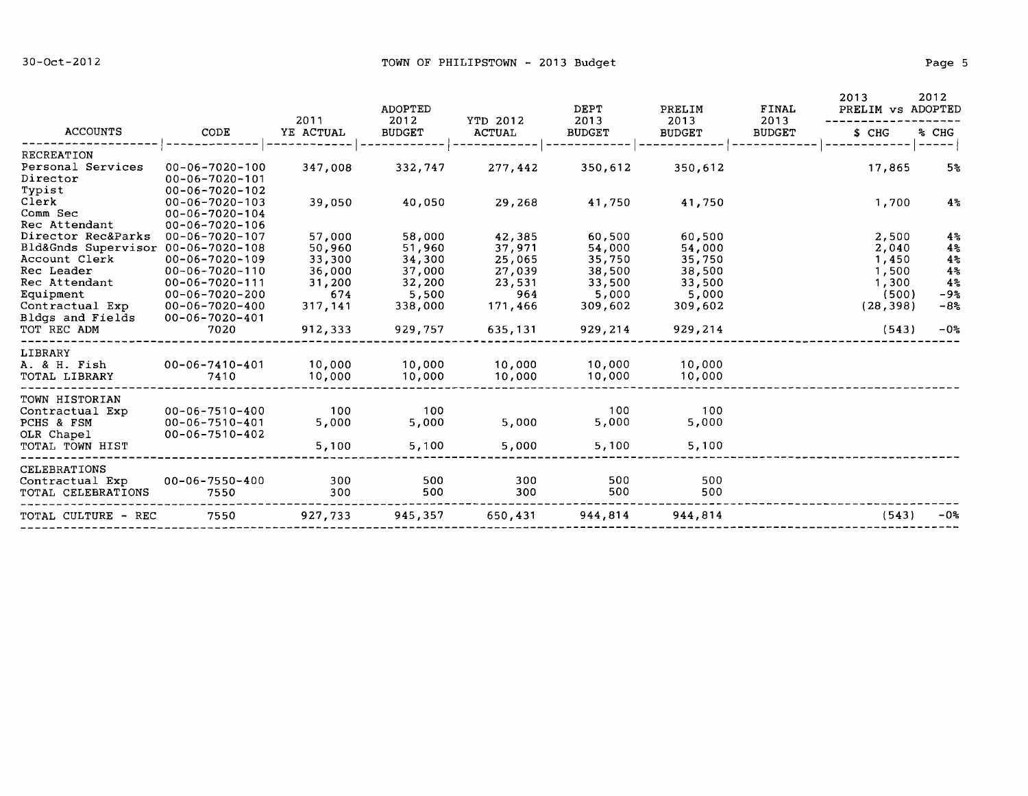|                                    |                                                  | 2011      | <b>ADOPTED</b><br>2012 |                                  | DEPT                  | PRELIM                | FINAL<br>2013 | 2013<br>PRELIM vs ADOPTED | 2012           |
|------------------------------------|--------------------------------------------------|-----------|------------------------|----------------------------------|-----------------------|-----------------------|---------------|---------------------------|----------------|
| <b>ACCOUNTS</b>                    | CODE                                             | YE ACTUAL | <b>BUDGET</b>          | <b>YTD 2012</b><br><b>ACTUAL</b> | 2013<br><b>BUDGET</b> | 2013<br><b>BUDGET</b> | <b>BUDGET</b> | \$ CHG                    | % CHG          |
| <b>RECREATION</b>                  |                                                  |           |                        |                                  |                       |                       |               |                           |                |
| Personal Services<br>Director      | $00 - 06 - 7020 - 100$<br>$00 - 06 - 7020 - 101$ | 347,008   | 332,747                | 277,442                          | 350,612               | 350,612               |               | 17,865                    | 5 <sub>5</sub> |
| Typist                             | $00 - 06 - 7020 - 102$                           |           |                        |                                  |                       |                       |               |                           |                |
| Clerk<br>Comm Sec                  | $00 - 06 - 7020 - 103$<br>$00 - 06 - 7020 - 104$ | 39,050    | 40,050                 | 29,268                           | 41,750                | 41,750                |               | 1,700                     | $4\%$          |
| Rec Attendant                      | $00 - 06 - 7020 - 106$                           |           |                        |                                  |                       |                       |               |                           |                |
| Director Rec&Parks                 | 00-06-7020-107                                   | 57,000    | 58,000                 | 42,385                           | 60,500                | 60,500                |               | 2,500                     | $4\,$          |
| Bld&Gnds Supervisor 00-06-7020-108 |                                                  | 50,960    | 51,960                 | 37,971                           | 54,000                | 54,000                |               | 2,040                     | $4\,$          |
| Account Clerk                      | $00 - 06 - 7020 - 109$                           | 33,300    | 34,300                 | 25,065                           | 35,750                | 35,750                |               | 1,450                     | 4 <sub>5</sub> |
| Rec Leader                         | $00 - 06 - 7020 - 110$                           | 36,000    | 37,000                 | 27,039                           | 38,500                | 38,500                |               | 1,500                     | 4 <sup>2</sup> |
| Rec Attendant                      | $00 - 06 - 7020 - 111$                           | 31,200    | 32,200                 | 23,531                           | 33,500                | 33,500                |               | 1,300                     | $4\,$          |
| Equipment                          | $00 - 06 - 7020 - 200$                           | 674       | 5,500                  | 964                              | 5,000                 | 5,000                 |               | (500)                     | $-98$          |
| Contractual Exp                    | $00 - 06 - 7020 - 400$                           | 317,141   | 338,000                | 171,466                          | 309,602               | 309,602               |               | (28, 398)                 | $-8%$          |
| Bldgs and Fields                   | $00 - 06 - 7020 - 401$                           |           |                        |                                  |                       |                       |               |                           |                |
| TOT REC ADM                        | 7020                                             | 912,333   | 929,757                | 635,131                          | 929,214               | 929,214               |               | (543)                     | $-02$          |
| LIBRARY                            |                                                  |           |                        |                                  |                       |                       |               |                           |                |
| A. & H. Fish                       | $00 - 06 - 7410 - 401$                           | 10,000    | 10,000                 | 10,000                           | 10,000                | 10,000                |               |                           |                |
| TOTAL LIBRARY                      | 7410                                             | 10,000    | 10,000                 | 10,000                           | 10,000                | 10,000                |               |                           |                |
| TOWN HISTORIAN                     |                                                  |           |                        |                                  |                       |                       |               |                           |                |
| Contractual Exp                    | $00 - 06 - 7510 - 400$                           | 100       | 100                    |                                  | 100                   | 100                   |               |                           |                |
| PCHS & FSM                         | $00 - 06 - 7510 - 401$                           | 5,000     | 5,000                  | 5,000                            | 5,000                 | 5,000                 |               |                           |                |
| OLR Chapel                         | $00 - 06 - 7510 - 402$                           |           |                        |                                  |                       |                       |               |                           |                |
| TOTAL TOWN HIST                    |                                                  | 5,100     | 5,100                  | 5,000                            | 5,100                 | 5,100                 |               |                           |                |
| <b>CELEBRATIONS</b>                |                                                  |           |                        |                                  |                       |                       |               |                           |                |
| Contractual Exp                    | $00 - 06 - 7550 - 400$                           | 300       | 500                    | 300                              | 500                   | 500                   |               |                           |                |
| TOTAL CELEBRATIONS                 | 7550                                             | 300       | 500                    | 300                              | 500                   | 500                   |               |                           |                |
| TOTAL CULTURE - REC                | 7550                                             | 927,733   | 945,357                | 650,431                          | 944,814               | 944,814               |               | (543)                     | $-0o$          |
|                                    |                                                  |           |                        |                                  |                       |                       |               |                           |                |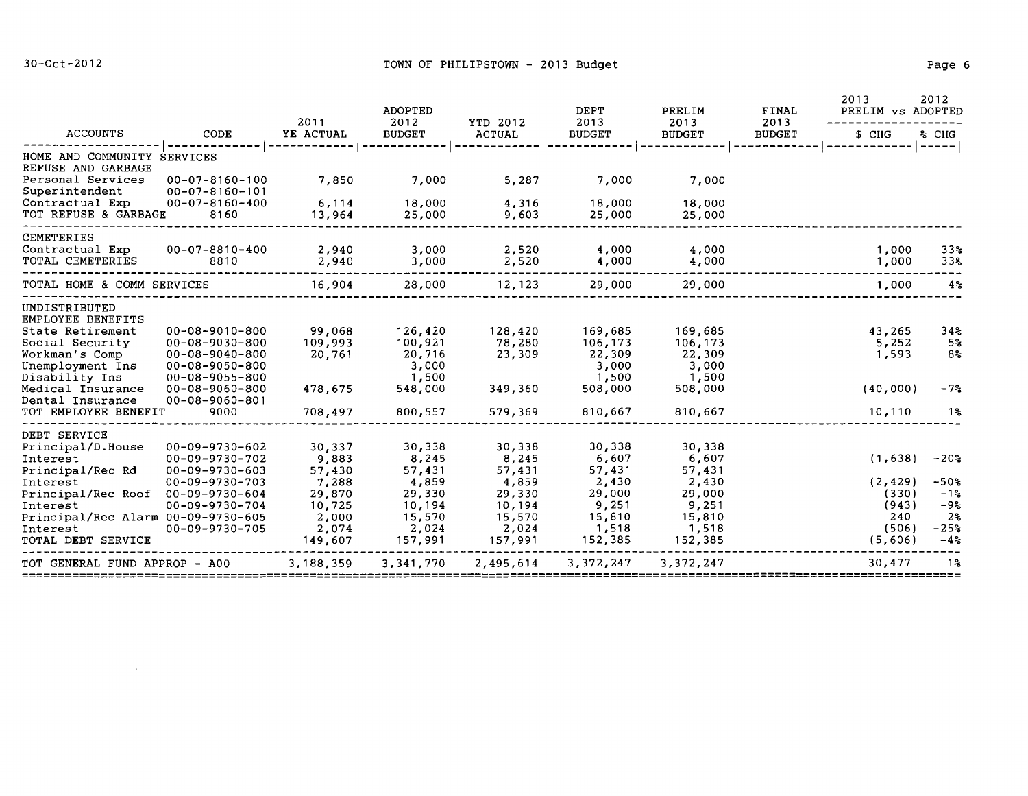$\sim 10^{11}$ 

|                                                           |                                                  | 2011             | ADOPTED               |                           | <b>DEPT</b>           | PRELIM                | FINAL                 | 2013<br>PRELIM vs ADOPTED | 2012                               |
|-----------------------------------------------------------|--------------------------------------------------|------------------|-----------------------|---------------------------|-----------------------|-----------------------|-----------------------|---------------------------|------------------------------------|
| <b>ACCOUNTS</b>                                           | CODE                                             | YE ACTUAL        | 2012<br><b>BUDGET</b> | YTD 2012<br><b>ACTUAL</b> | 2013<br><b>BUDGET</b> | 2013<br><b>BUDGET</b> | 2013<br><b>BUDGET</b> | \$ CHG                    | % CHG<br>-----                     |
| HOME AND COMMUNITY SERVICES                               |                                                  |                  |                       |                           |                       |                       |                       |                           |                                    |
| REFUSE AND GARBAGE<br>Personal Services<br>Superintendent | $00 - 07 - 8160 - 100$<br>$00 - 07 - 8160 - 101$ | 7,850            | 7,000                 | 5,287                     | 7,000                 | 7,000                 |                       |                           |                                    |
| Contractual Exp<br>TOT REFUSE & GARBAGE                   | $00 - 07 - 8160 - 400$<br>8160                   | 6,114<br>13,964  | 18,000<br>25,000      | 4,316<br>9,603            | 18,000<br>25,000      | 18,000<br>25,000      |                       |                           |                                    |
| CEMETERIES                                                |                                                  |                  |                       |                           |                       |                       |                       |                           |                                    |
| Contractual Exp<br>TOTAL CEMETERIES                       | 00-07-8810-400<br>8810                           | 2,940<br>2,940   | 3,000<br>3,000        | 2,520<br>2,520            | 4,000<br>4,000        | 4,000<br>4,000        |                       | 1,000<br>1,000            | 33 <sub>8</sub><br>33 <sub>8</sub> |
| TOTAL HOME & COMM SERVICES                                |                                                  | 16,904           | 28,000                | 12,123                    | 29,000                | 29,000                |                       | 1,000                     | $4\%$                              |
| UNDISTRIBUTED<br>EMPLOYEE BENEFITS                        |                                                  |                  |                       |                           |                       |                       |                       |                           |                                    |
| State Retirement                                          | $00 - 08 - 9010 - 800$                           | 99,068           | 126,420               | 128,420                   | 169,685               | 169,685               |                       | 43,265                    | 34%                                |
| Social Security                                           | 00-08-9030-800                                   | 109,993          | 100,921               | 78,280                    | 106,173               | 106,173               |                       | 5,252                     | 5%                                 |
| Workman's Comp                                            | $00 - 08 - 9040 - 800$                           | 20,761           | 20,716                | 23,309                    | 22,309                | 22,309                |                       | 1,593                     | 8%                                 |
| Unemployment Ins                                          | $00 - 08 - 9050 - 800$                           |                  | 3,000                 |                           | 3,000                 | 3,000                 |                       |                           |                                    |
| Disability Ins                                            | 00-08-9055-800                                   |                  | 1,500                 |                           | 1,500                 | 1,500                 |                       |                           |                                    |
| Medical Insurance                                         | 00-08-9060-800                                   | 478,675          | 548,000               | 349,360                   | 508,000               | 508,000               |                       | (40,000)                  | $-7%$                              |
| Dental Insurance                                          | $00 - 08 - 9060 - 801$                           |                  |                       |                           |                       |                       |                       |                           |                                    |
| TOT EMPLOYEE BENEFIT                                      | 9000                                             | 708,497          | 800,557               | 579,369                   | 810,667               | 810,667               |                       | 10,110                    | 1%                                 |
| DEBT SERVICE                                              |                                                  |                  |                       |                           |                       |                       |                       |                           |                                    |
| Principal/D.House                                         | $00 - 09 - 9730 - 602$                           | 30,337           | 30,338                | 30,338                    | 30,338                | 30,338                |                       |                           |                                    |
| Interest                                                  | 00-09-9730-702                                   | 9,883            | 8,245                 | 8,245                     | 6,607                 | 6,607                 |                       | (1,638)                   | $-20$ %                            |
| Principal/Rec Rd                                          | $00 - 09 - 9730 - 603$                           | 57,430           | 57,431                | 57,431                    | 57,431                | 57,431                |                       |                           |                                    |
| Interest                                                  | $00 - 09 - 9730 - 703$                           | 7,288            | 4,859                 | 4,859                     | 2,430                 | 2,430                 |                       | (2, 429)                  | $-50$ %                            |
| Principal/Rec Roof                                        | 00-09-9730-604                                   | 29,870           | 29,330                | 29,330                    | 29,000                | 29,000                |                       | (330)                     | $-12$                              |
| Interest                                                  | $00 - 09 - 9730 - 704$                           | 10,725           | 10,194                | 10,194                    | 9,251                 | 9,251                 |                       | (943)                     | $-9.5$                             |
| Principal/Rec Alarm 00-09-9730-605                        |                                                  | 2,000            | 15,570                | 15,570                    | 15,810                | 15,810                |                       | 240                       | $2\%$                              |
| Interest<br>TOTAL DEBT SERVICE                            | 00-09-9730-705                                   | 2,074<br>149,607 | 2,024<br>157,991      | 2,024<br>157,991          | 1,518<br>152,385      | 1,518<br>152,385      |                       | (506)<br>(5,606)          | $-25%$<br>$-4%$                    |
| TOT GENERAL FUND APPROP - A00                             |                                                  | 3,188,359        | 3,341,770             | 2,495,614                 | 3,372,247             | 3,372,247             |                       | 30,477                    | 1%                                 |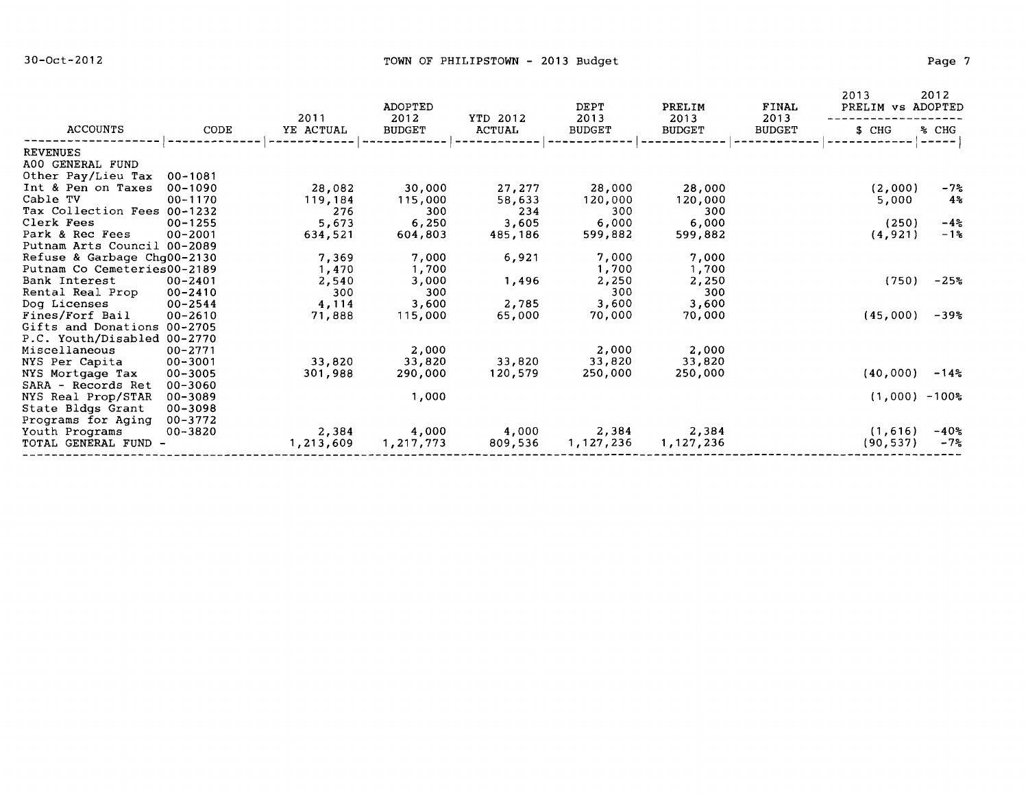|                             |             | 2011      | <b>ADOPTED</b><br>2012 | YTD 2012 | DEPT<br>2013  | PRELIM<br>2013 | FINAL<br>2013 | 2013<br>PRELIM vs ADOPTED | 2012    |
|-----------------------------|-------------|-----------|------------------------|----------|---------------|----------------|---------------|---------------------------|---------|
| <b>ACCOUNTS</b>             | CODE        | YE ACTUAL | <b>BUDGET</b>          | ACTUAL   | <b>BUDGET</b> | BUDGET         | <b>BUDGET</b> | S CHG                     | % CHG   |
| <b>REVENUES</b>             |             |           |                        |          |               |                |               |                           |         |
| A00 GENERAL FUND            |             |           |                        |          |               |                |               |                           |         |
| Other Pay/Lieu Tax          | $00 - 1081$ |           |                        |          |               |                |               |                           |         |
| Int & Pen on Taxes          | $00 - 1090$ | 28,082    | 30,000                 | 27,277   | 28,000        | 28,000         |               | (2,000)                   | $-72$   |
| Cable TV                    | $00 - 1170$ | 119,184   | 115,000                | 58,633   | 120,000       | 120,000        |               | 5,000                     | $4\,$   |
| Tax Collection Fees 00-1232 |             | 276       | 300                    | 234      | 300           | 300            |               |                           |         |
| Clerk Fees                  | $00 - 1255$ | 5,673     | 6,250                  | 3,605    | 6,000         | 6,000          |               | (250)                     | $-4\%$  |
| Park & Rec Fees             | $00 - 2001$ | 634,521   | 604,803                | 485,186  | 599,882       | 599,882        |               | (4, 921)                  | $-1\%$  |
| Putnam Arts Council 00-2089 |             |           |                        |          |               |                |               |                           |         |
| Refuse & Garbage Chq00-2130 |             | 7,369     | 7,000                  | 6,921    | 7,000         | 7,000          |               |                           |         |
| Putnam Co Cemeteries00-2189 |             | 1,470     | 1,700                  |          | 1,700         | 1,700          |               |                           |         |
| Bank Interest               | 00-2401     | 2,540     | 3,000                  | 1,496    | 2,250         | 2,250          |               | (750)                     | $-25%$  |
| Rental Real Prop            | $00 - 2410$ | 300       | 300                    |          | 300           | 300            |               |                           |         |
| Dog Licenses                | $00 - 2544$ | 4,114     | 3,600                  | 2,785    | 3,600         | 3,600          |               |                           |         |
| Fines/Forf Bail             | $00 - 2610$ | 71,888    | 115,000                | 65,000   | 70,000        | 70,000         |               | (45,000)                  | $-39%$  |
| Gifts and Donations         | 00-2705     |           |                        |          |               |                |               |                           |         |
| P.C. Youth/Disabled 00-2770 |             |           |                        |          |               |                |               |                           |         |
| Miscellaneous               | 00-2771     |           | 2,000                  |          | 2,000         | 2,000          |               |                           |         |
| NYS Per Capita              | $00 - 3001$ | 33,820    | 33,820                 | 33,820   | 33,820        | 33,820         |               |                           |         |
| NYS Mortgage Tax            | $00 - 3005$ | 301,988   | 290,000                | 120,579  | 250,000       | 250,000        |               | (40,000)                  | $-14\%$ |
| SARA - Records Ret          | 00-3060     |           |                        |          |               |                |               |                           |         |
| NYS Real Prop/STAR          | 00-3089     |           | 1,000                  |          |               |                |               | $(1,000) - 100$ %         |         |
| State Bldgs Grant           | 00-3098     |           |                        |          |               |                |               |                           |         |
| Programs for Aging          | 00-3772     |           |                        |          |               |                |               |                           |         |
| Youth Programs              | 00-3820     | 2,384     | 4,000                  | 4,000    | 2,384         | 2,384          |               | (1, 616)                  | $-40%$  |
| TOTAL GENERAL FUND -        |             | 1,213,609 | 1,217,773              | 809,536  | 1,127,236     | 1,127,236      |               | (90, 537)                 | $-75$   |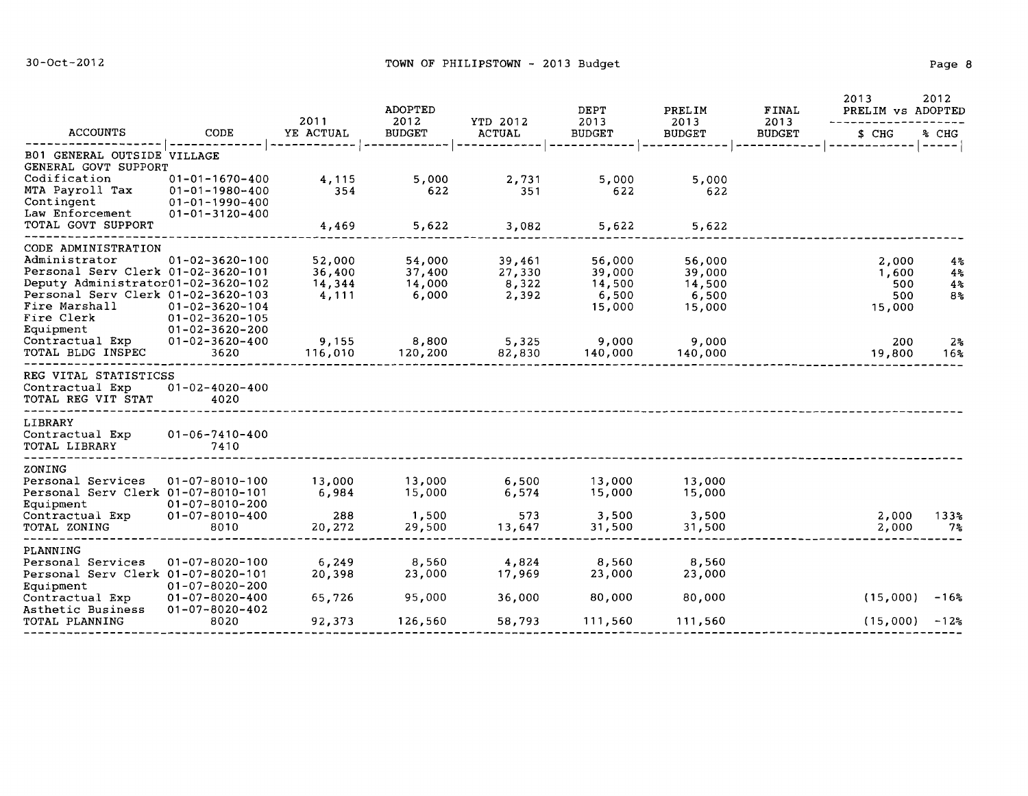|                                                                                                                                                                             |                                                                                                      | 2011                                | ADOPTED<br>2012                     | YTD 2012                           | DEPT<br>2013                                  | PRELIM<br>2013                                | FINAL<br>2013 | 2013<br>PRELIM vs ADOPTED              | 2012                                         |
|-----------------------------------------------------------------------------------------------------------------------------------------------------------------------------|------------------------------------------------------------------------------------------------------|-------------------------------------|-------------------------------------|------------------------------------|-----------------------------------------------|-----------------------------------------------|---------------|----------------------------------------|----------------------------------------------|
| <b>ACCOUNTS</b>                                                                                                                                                             | CODE                                                                                                 | YE ACTUAL                           | <b>BUDGET</b>                       | <b>ACTUAL</b>                      | <b>BUDGET</b>                                 | <b>BUDGET</b>                                 | <b>BUDGET</b> | \$ CHG                                 | % CHG                                        |
| B01 GENERAL OUTSIDE VILLAGE<br>GENERAL GOVT SUPPORT                                                                                                                         |                                                                                                      |                                     |                                     |                                    |                                               |                                               |               |                                        | -----                                        |
| Codification<br>MTA Payroll Tax<br>Contingent                                                                                                                               | $01 - 01 - 1670 - 400$<br>$01 - 01 - 1980 - 400$<br>$01 - 01 - 1990 - 400$                           | 4,115<br>354                        | 5,000<br>622                        | 2,731<br>351                       | 5,000<br>622                                  | 5,000<br>622                                  |               |                                        |                                              |
| Law Enforcement<br>TOTAL GOVT SUPPORT                                                                                                                                       | $01 - 01 - 3120 - 400$                                                                               | 4,469                               | 5,622                               | 3,082                              | 5,622                                         | 5,622                                         |               |                                        |                                              |
| CODE ADMINISTRATION                                                                                                                                                         |                                                                                                      |                                     |                                     |                                    |                                               |                                               |               |                                        |                                              |
| Administrator<br>Personal Serv Clerk 01-02-3620-101<br>Deputy Administrator01-02-3620-102<br>Personal Serv Clerk 01-02-3620-103<br>Fire Marshall<br>Fire Clerk<br>Equipment | $01 - 02 - 3620 - 100$<br>$01 - 02 - 3620 - 104$<br>$01 - 02 - 3620 - 105$<br>$01 - 02 - 3620 - 200$ | 52,000<br>36,400<br>14,344<br>4,111 | 54,000<br>37,400<br>14,000<br>6,000 | 39,461<br>27,330<br>8,322<br>2,392 | 56,000<br>39,000<br>14,500<br>6,500<br>15,000 | 56,000<br>39,000<br>14,500<br>6,500<br>15,000 |               | 2,000<br>1,600<br>500<br>500<br>15,000 | 4%<br>4 <sup>°</sup><br>4%<br>8 <sup>°</sup> |
| Contractual Exp<br>TOTAL BLDG INSPEC                                                                                                                                        | $01 - 02 - 3620 - 400$<br>3620                                                                       | 9,155<br>116,010                    | 8,800<br>120,200                    | 5,325<br>82,830                    | 9,000<br>140,000                              | 9,000<br>140,000                              |               | 200<br>19,800                          | 2 <sub>5</sub><br>16%                        |
| REG VITAL STATISTICSS<br>Contractual Exp<br>TOTAL REG VIT STAT                                                                                                              | $01 - 02 - 4020 - 400$<br>4020                                                                       |                                     |                                     |                                    |                                               |                                               |               |                                        |                                              |
| LIBRARY<br>Contractual Exp<br>TOTAL LIBRARY                                                                                                                                 | $01 - 06 - 7410 - 400$<br>7410                                                                       |                                     |                                     |                                    |                                               |                                               |               |                                        |                                              |
| ZONING                                                                                                                                                                      |                                                                                                      |                                     |                                     |                                    |                                               |                                               |               |                                        |                                              |
| Personal Services<br>Personal Serv Clerk 01-07-8010-101<br>Equipment                                                                                                        | $01 - 07 - 8010 - 100$<br>$01 - 07 - 8010 - 200$                                                     | 13,000<br>6,984                     | 13,000<br>15,000                    | 6,500<br>6,574                     | 13,000<br>15,000                              | 13,000<br>15,000                              |               |                                        |                                              |
| Contractual Exp<br>TOTAL ZONING                                                                                                                                             | $01 - 07 - 8010 - 400$<br>8010                                                                       | 288<br>20,272                       | 1,500<br>29,500                     | 573<br>13,647                      | 3,500<br>31,500                               | 3,500<br>31,500                               |               | 2,000<br>2,000                         | 133 <sub>8</sub><br>$7\,$                    |
| PLANNING<br>Personal Services                                                                                                                                               | $01 - 07 - 8020 - 100$                                                                               | 6,249                               | 8,560                               | 4,824                              | 8,560                                         | 8,560                                         |               |                                        |                                              |
| Personal Serv Clerk 01-07-8020-101<br>Equipment                                                                                                                             | $01 - 07 - 8020 - 200$                                                                               | 20,398                              | 23,000                              | 17,969                             | 23,000                                        | 23,000                                        |               |                                        |                                              |
| Contractual Exp<br>Asthetic Business                                                                                                                                        | $01 - 07 - 8020 - 400$<br>$01 - 07 - 8020 - 402$                                                     | 65,726                              | 95,000                              | 36,000                             | 80,000                                        | 80,000                                        |               | (15,000)                               | $-16$ %                                      |
| TOTAL PLANNING                                                                                                                                                              | 8020                                                                                                 | 92,373                              | 126,560                             | 58,793                             | 111,560                                       | 111,560                                       |               | (15,000)                               | $-125$                                       |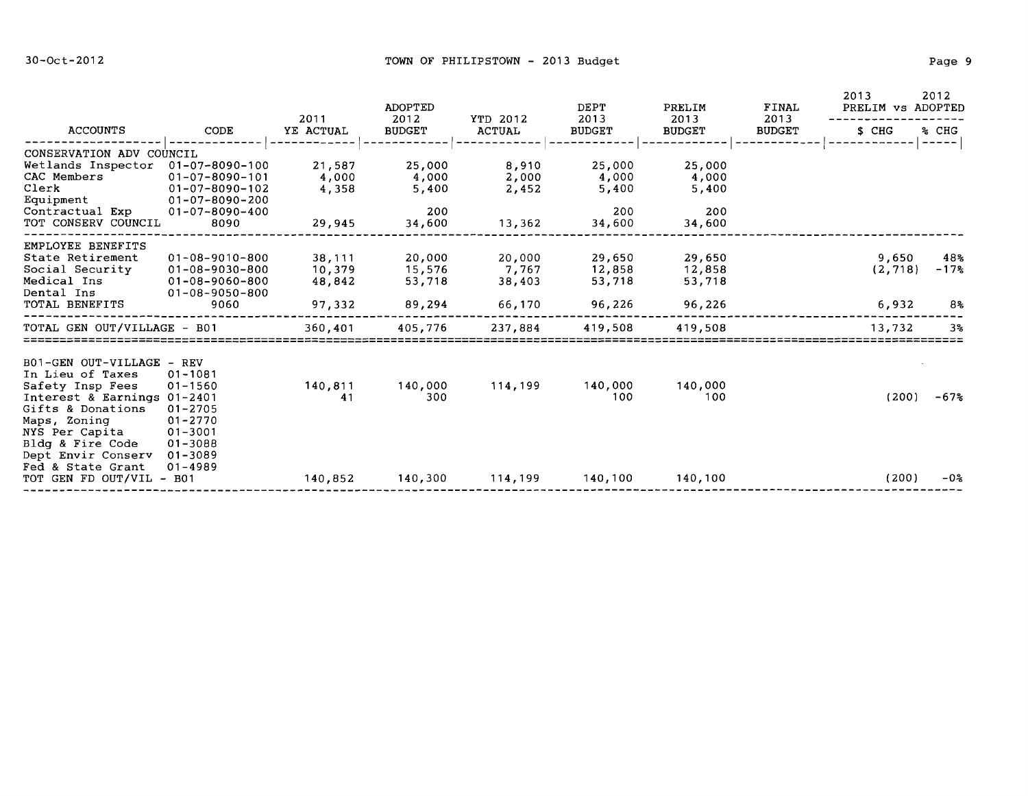|                                                                                                                                                                                                                  |                                                                                                                                |                                      | ADOPTED                                   | YTD 2012<br><b>ACTUAL</b>           | DEPT                                      | PRELIM                                    | FINAL<br>2013 | 2013<br>PRELIM vs ADOPTED  | 2012                             |  |
|------------------------------------------------------------------------------------------------------------------------------------------------------------------------------------------------------------------|--------------------------------------------------------------------------------------------------------------------------------|--------------------------------------|-------------------------------------------|-------------------------------------|-------------------------------------------|-------------------------------------------|---------------|----------------------------|----------------------------------|--|
| <b>ACCOUNTS</b>                                                                                                                                                                                                  | CODE                                                                                                                           | 2011<br>YE ACTUAL                    | 2012<br><b>BUDGET</b>                     |                                     | 2013<br><b>BUDGET</b>                     | 2013<br><b>BUDGET</b>                     | <b>BUDGET</b> | \$ CHG                     | % CHG<br>$---$                   |  |
| CONSERVATION ADV COUNCIL<br>Wetlands Inspector<br>CAC Members<br>Clerk<br>Equipment<br>Contractual Exp<br>TOT CONSERV COUNCIL                                                                                    | 01-07-8090-100<br>$01 - 07 - 8090 - 101$<br>$01 - 07 - 8090 - 102$<br>$01 - 07 - 8090 - 200$<br>$01 - 07 - 8090 - 400$<br>8090 | 21,587<br>4,000<br>4,358<br>29,945   | 25,000<br>4,000<br>5,400<br>200<br>34,600 | 8,910<br>2,000<br>2,452<br>13,362   | 25,000<br>4,000<br>5,400<br>200<br>34,600 | 25,000<br>4,000<br>5,400<br>200<br>34,600 |               |                            |                                  |  |
| EMPLOYEE BENEFITS<br>State Retirement<br>Social Security<br>Medical Ins<br>Dental Ins<br>TOTAL BENEFITS                                                                                                          | $01 - 08 - 9010 - 800$<br>$01 - 08 - 9030 - 800$<br>$01 - 08 - 9060 - 800$<br>$01 - 08 - 9050 - 800$<br>9060                   | 38,111<br>10,379<br>48,842<br>97,332 | 20,000<br>15,576<br>53,718<br>89,294      | 20,000<br>7,767<br>38,403<br>66,170 | 29,650<br>12,858<br>53,718<br>96,226      | 29,650<br>12,858<br>53,718<br>96,226      |               | 9,650<br>(2, 718)<br>6,932 | 48.5<br>$-178$<br>8 <sub>5</sub> |  |
| TOTAL GEN OUT/VILLAGE - B01                                                                                                                                                                                      |                                                                                                                                | 360,401                              | 405.776                                   | 237.884                             | 419,508                                   | 419,508                                   |               | 13,732                     | 3 <sup>°</sup>                   |  |
| B01-GEN OUT-VILLAGE<br>In Lieu of Taxes<br>Safety Insp Fees<br>Interest & Earnings 01-2401<br>Gifts & Donations<br>Maps, Zoning<br>NYS Per Capita<br>Bldg & Fire Code<br>Dept Envir Conserv<br>Fed & State Grant | – REV<br>$01 - 1081$<br>$01 - 1560$<br>$01 - 2705$<br>$01 - 2770$<br>$01 - 3001$<br>$01 - 3088$<br>01-3089<br>$01 - 4989$      | 140,811<br>41                        | 140,000<br>300                            | 114,199                             | 140,000<br>100                            | 140,000<br>100                            |               | (200)                      | $-67%$                           |  |
| TOT GEN FD OUT/VIL - B01                                                                                                                                                                                         |                                                                                                                                | 140,852                              | 140,300                                   | 114,199                             | 140,100                                   | 140,100                                   |               | (200)                      | $-05$                            |  |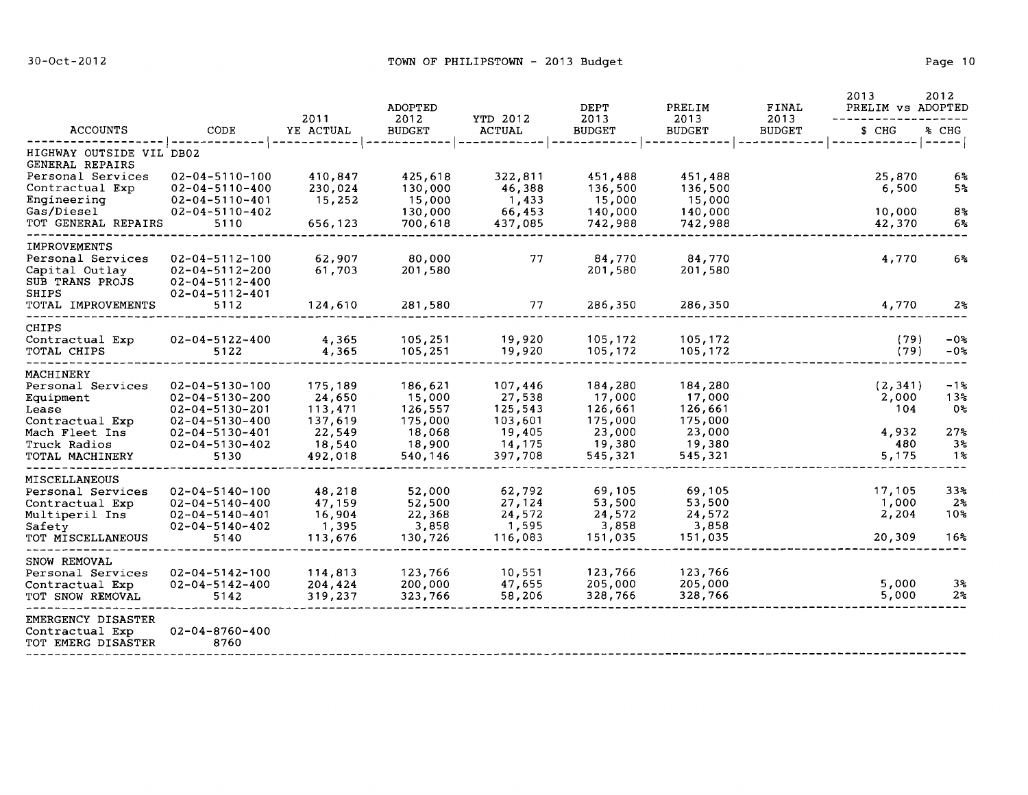| <b>ACCOUNTS</b>                                                                                                              |                                                                                                                                                                  | 2011                                                                   | <b>ADOPTED</b>                                                         |                                                                        | DEPT                                                                   | PRELIM<br>2013                                                         | FINAL<br>2013 | 2013<br>PRELIM vs ADOPTED                         | 2012                                               |
|------------------------------------------------------------------------------------------------------------------------------|------------------------------------------------------------------------------------------------------------------------------------------------------------------|------------------------------------------------------------------------|------------------------------------------------------------------------|------------------------------------------------------------------------|------------------------------------------------------------------------|------------------------------------------------------------------------|---------------|---------------------------------------------------|----------------------------------------------------|
|                                                                                                                              | CODE                                                                                                                                                             | YE ACTUAL                                                              | 2012<br><b>BUDGET</b>                                                  | YTD 2012<br><b>ACTUAL</b>                                              | 2013<br><b>BUDGET</b>                                                  | <b>BUDGET</b>                                                          | <b>BUDGET</b> | \$ CHG                                            | % CHG<br>-----                                     |
| HIGHWAY OUTSIDE VIL DB02<br>GENERAL REPAIRS                                                                                  |                                                                                                                                                                  |                                                                        |                                                                        |                                                                        |                                                                        |                                                                        |               |                                                   |                                                    |
| Personal Services<br>Contractual Exp<br>Engineering                                                                          | $02 - 04 - 5110 - 100$<br>$02 - 04 - 5110 - 400$<br>$02 - 04 - 5110 - 401$                                                                                       | 410,847<br>230,024<br>15,252                                           | 425,618<br>130,000<br>15,000                                           | 322,811<br>46,388<br>1,433                                             | 451,488<br>136,500<br>15,000                                           | 451,488<br>136,500<br>15,000                                           |               | 25,870<br>6,500                                   | 6 <sup>2</sup><br>5 <sup>2</sup>                   |
| Gas/Diesel<br>TOT GENERAL REPAIRS                                                                                            | $02 - 04 - 5110 - 402$<br>5110                                                                                                                                   | 656,123                                                                | 130,000<br>700,618                                                     | 66,453<br>437,085                                                      | 140,000<br>742,988                                                     | 140,000<br>742,988                                                     |               | 10,000<br>42,370                                  | 8 <sub>5</sub><br>6%                               |
| <b>IMPROVEMENTS</b><br>Personal Services<br>Capital Outlay<br>SUB TRANS PROJS<br>SHIPS                                       | $02 - 04 - 5112 - 100$<br>$02 - 04 - 5112 - 200$<br>$02 - 04 - 5112 - 400$<br>$02 - 04 - 5112 - 401$                                                             | 62,907<br>61,703                                                       | 80,000<br>201,580                                                      | 77                                                                     | 84,770<br>201,580                                                      | 84,770<br>201,580                                                      |               | 4,770                                             | 6%                                                 |
| TOTAL IMPROVEMENTS                                                                                                           | 5112                                                                                                                                                             | 124,610                                                                | 281,580                                                                | 77                                                                     | 286,350                                                                | 286,350                                                                |               | 4,770                                             | 2 <sup>o</sup>                                     |
| CHIPS<br>Contractual Exp<br>TOTAL CHIPS                                                                                      | $02 - 04 - 5122 - 400$<br>5122                                                                                                                                   | 4,365<br>4,365                                                         | 105,251<br>105,251                                                     | 19,920<br>19,920                                                       | 105,172<br>105,172                                                     | 105,172<br>105,172                                                     |               | (79)<br>(79)                                      | $-0.8$<br>$-02$                                    |
| MACHINERY<br>Personal Services<br>Equipment<br>Lease<br>Contractual Exp<br>Mach Fleet Ins<br>Truck Radios<br>TOTAL MACHINERY | $02 - 04 - 5130 - 100$<br>$02 - 04 - 5130 - 200$<br>$02 - 04 - 5130 - 201$<br>$02 - 04 - 5130 - 400$<br>$02 - 04 - 5130 - 401$<br>$02 - 04 - 5130 - 402$<br>5130 | 175,189<br>24,650<br>113,471<br>137,619<br>22,549<br>18,540<br>492,018 | 186,621<br>15,000<br>126,557<br>175,000<br>18,068<br>18,900<br>540,146 | 107,446<br>27,538<br>125,543<br>103,601<br>19,405<br>14,175<br>397,708 | 184,280<br>17,000<br>126,661<br>175,000<br>23,000<br>19,380<br>545,321 | 184,280<br>17,000<br>126,661<br>175,000<br>23,000<br>19,380<br>545,321 |               | (2, 341)<br>2,000<br>104<br>4,932<br>480<br>5,175 | -1%<br>13%<br>0%<br>27 <sub>5</sub><br>$3\,$<br>1% |
| MISCELLANEOUS<br>Personal Services<br>Contractual Exp<br>Multiperil Ins<br>Safety<br>TOT MISCELLANEOUS                       | $02 - 04 - 5140 - 100$<br>$02 - 04 - 5140 - 400$<br>$02 - 04 - 5140 - 401$<br>$02 - 04 - 5140 - 402$<br>5140                                                     | 48,218<br>47,159<br>16,904<br>1,395<br>113,676                         | 52,000<br>52,500<br>22,368<br>3,858<br>130,726                         | 62,792<br>27,124<br>24,572<br>1,595<br>116,083                         | 69,105<br>53,500<br>24,572<br>3,858<br>151,035                         | 69,105<br>53,500<br>24,572<br>3,858<br>151,035                         |               | 17,105<br>1,000<br>2,204<br>20,309                | 33 <sub>8</sub><br>2%<br>10%<br>16%                |
| SNOW REMOVAL<br>Personal Services<br>Contractual Exp<br>TOT SNOW REMOVAL                                                     | $02 - 04 - 5142 - 100$<br>$02 - 04 - 5142 - 400$<br>5142                                                                                                         | 114,813<br>204,424<br>319,237                                          | 123,766<br>200,000<br>323,766                                          | 10,551<br>47,655<br>58,206                                             | 123,766<br>205,000<br>328,766                                          | 123,766<br>205,000<br>328,766                                          |               | 5,000<br>5,000                                    | 3%<br>2%                                           |
| EMERGENCY DISASTER<br>Contractual Exp<br>TOT EMERG DISASTER                                                                  | $02 - 04 - 8760 - 400$<br>8760                                                                                                                                   |                                                                        |                                                                        |                                                                        |                                                                        |                                                                        |               |                                                   |                                                    |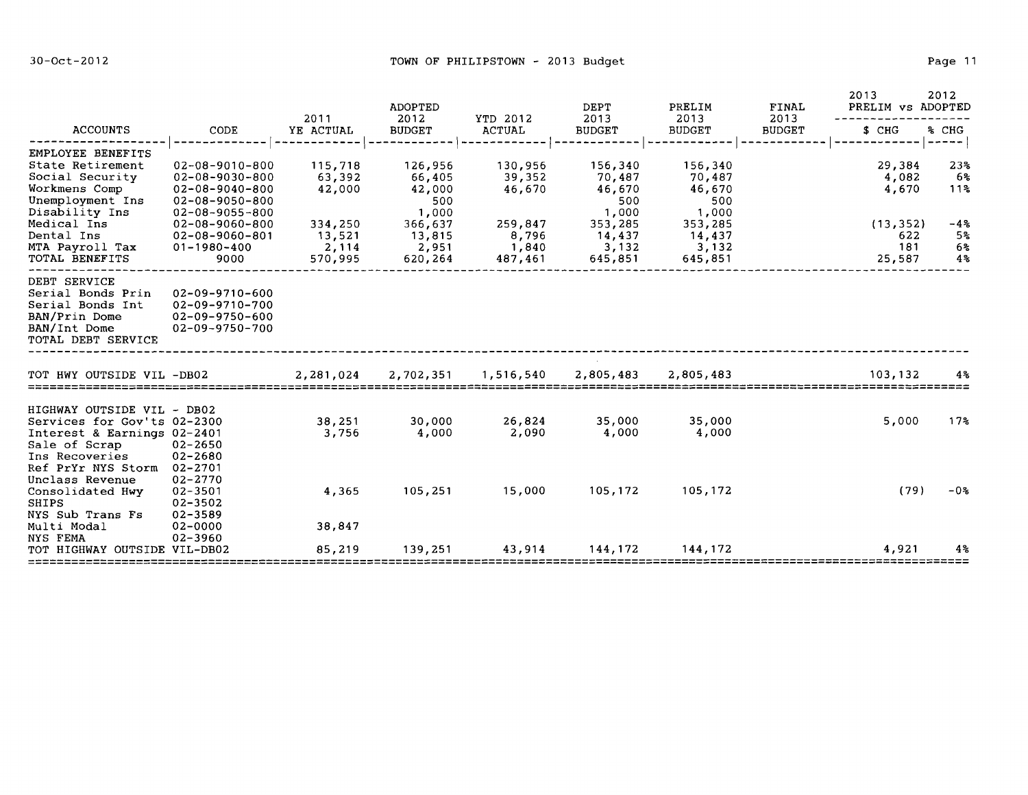|                                                                                                              |                                                                      | 2011             | ADOPTED<br>2012  | YTD 2012            | DEPT<br>2013     | PRELIM<br>2013   | <b>FINAL</b><br>2013 | 2013<br>2012<br>PRELIM vs ADOPTED |                        |  |
|--------------------------------------------------------------------------------------------------------------|----------------------------------------------------------------------|------------------|------------------|---------------------|------------------|------------------|----------------------|-----------------------------------|------------------------|--|
| <b>ACCOUNTS</b>                                                                                              | CODE                                                                 | YE ACTUAL        | <b>BUDGET</b>    | ACTUAL              | <b>BUDGET</b>    | <b>BUDGET</b>    | <b>BUDGET</b>        | \$ CHG                            | % CHG<br>---           |  |
| EMPLOYEE BENEFITS                                                                                            |                                                                      |                  |                  |                     |                  |                  |                      |                                   |                        |  |
| State Retirement                                                                                             | $02 - 08 - 9010 - 800$                                               | 115,718          | 126,956          | 130,956             | 156,340          | 156,340          |                      | 29,384                            | 23 <sub>5</sub>        |  |
| Social Security<br>Workmens Comp                                                                             | 02-08-9030-800<br>$02 - 08 - 9040 - 800$                             | 63,392<br>42,000 | 66,405<br>42,000 | 39,352<br>46,670    | 70,487<br>46,670 | 70,487<br>46,670 |                      | 4,082<br>4,670                    | 6%ะ<br>11 <sup>8</sup> |  |
| Unemployment Ins                                                                                             | $02 - 08 - 9050 - 800$                                               |                  | 500              |                     | 500              | 500              |                      |                                   |                        |  |
| Disability Ins                                                                                               | $02 - 08 - 9055 - 800$                                               |                  | 1,000            |                     | 1,000            | 1,000            |                      |                                   |                        |  |
| Medical Ins                                                                                                  | $02 - 08 - 9060 - 800$                                               | 334,250          | 366,637          | 259,847             | 353,285          | 353,285          |                      | (13, 352)                         | $-4.3$                 |  |
| Dental Ins                                                                                                   | 02-08-9060-801                                                       | 13,521           | 13,815           | 8,796               | 14,437           | 14,437           |                      | 622                               | 5%                     |  |
| MTA Payroll Tax<br>TOTAL BENEFITS                                                                            | 01-1980-400<br>9000                                                  | 2,114<br>570,995 | 2,951<br>620,264 | 1,840<br>487,461    | 3,132<br>645,851 | 3,132<br>645,851 |                      | 181<br>25,587                     | 6%<br>4%               |  |
|                                                                                                              |                                                                      |                  |                  |                     |                  |                  |                      |                                   |                        |  |
| DEBT SERVICE<br>Serial Bonds Prin<br>Serial Bonds Int<br>BAN/Prin Dome<br>BAN/Int Dome<br>TOTAL DEBT SERVICE | 02-09-9710-600<br>02-09-9710-700<br>02-09-9750-600<br>02-09-9750-700 |                  |                  |                     |                  |                  |                      |                                   |                        |  |
| TOT HWY OUTSIDE VIL -DB02                                                                                    |                                                                      | 2,281,024        |                  | 2,702,351 1,516,540 | 2,805,483        | 2,805,483        |                      | 103,132                           | 4%                     |  |
| HIGHWAY OUTSIDE VIL - DB02                                                                                   |                                                                      |                  |                  |                     |                  |                  |                      |                                   |                        |  |
| Services for Gov'ts 02-2300                                                                                  |                                                                      | 38,251           | 30,000           | 26,824              | 35,000           | 35,000           |                      | 5,000                             | 17 <sub>3</sub>        |  |
| Interest & Earnings 02-2401                                                                                  |                                                                      | 3,756            | 4,000            | 2,090               | 4,000            | 4,000            |                      |                                   |                        |  |
| Sale of Scrap                                                                                                | 02-2650                                                              |                  |                  |                     |                  |                  |                      |                                   |                        |  |
| Ins Recoveries                                                                                               | 02-2680                                                              |                  |                  |                     |                  |                  |                      |                                   |                        |  |
| Ref PrYr NYS Storm 02-2701                                                                                   |                                                                      |                  |                  |                     |                  |                  |                      |                                   |                        |  |
| Unclass Revenue<br>Consolidated Hwy                                                                          | 02-2770<br>$02 - 3501$                                               | 4,365            | 105,251          | 15,000              | 105,172          | 105,172          |                      | (79)                              | $-02$                  |  |
| SHIPS                                                                                                        | 02-3502                                                              |                  |                  |                     |                  |                  |                      |                                   |                        |  |
| NYS Sub Trans Fs                                                                                             | 02-3589                                                              |                  |                  |                     |                  |                  |                      |                                   |                        |  |
| Multi Modal                                                                                                  | 02-0000                                                              | 38,847           |                  |                     |                  |                  |                      |                                   |                        |  |
| <b>NYS FEMA</b><br>TOT HIGHWAY OUTSIDE VIL-DB02                                                              | 02-3960                                                              | 85,219           | 139,251          | 43,914              | 144,172          | 144,172          |                      | 4,921                             | 4%                     |  |
|                                                                                                              |                                                                      |                  |                  |                     |                  |                  |                      |                                   |                        |  |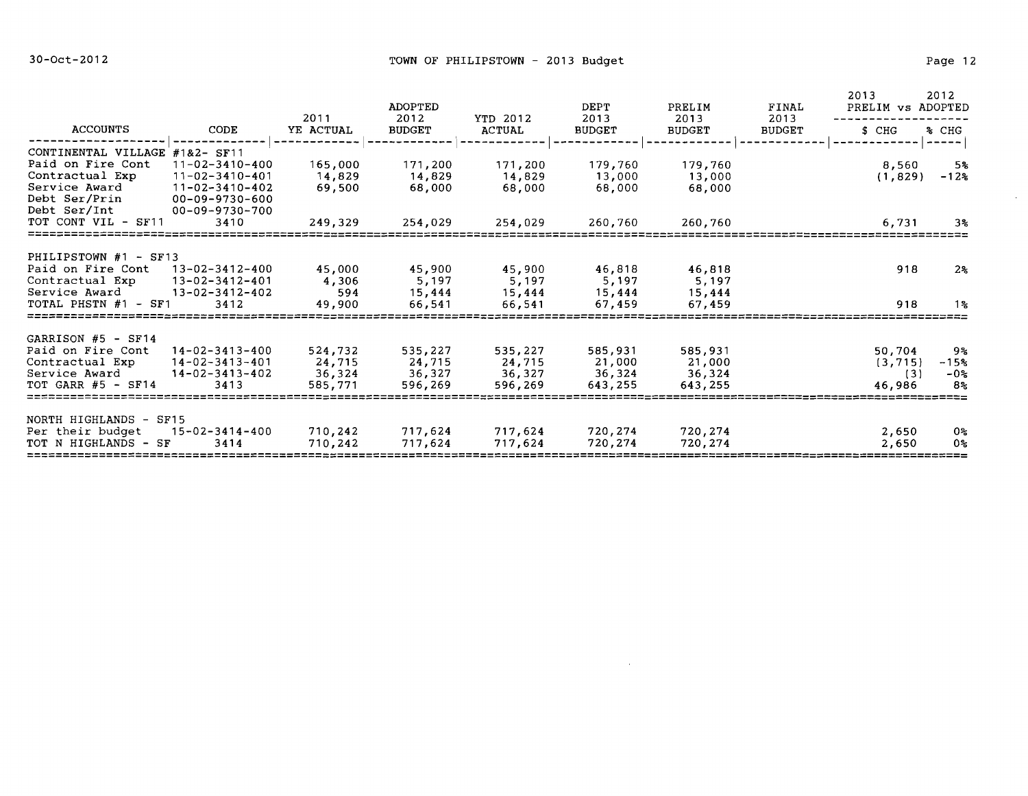$\sim$ 

|                                                                                                                       |                                                                                                               | 2011                                   | ADOPTED<br>2012                        | YTD 2012                               | DEPT<br>2013                           | PRELIM<br>2013                         | FINAL<br>2013 | 2013<br>PRELIM vs ADOPTED           | 2012                         |
|-----------------------------------------------------------------------------------------------------------------------|---------------------------------------------------------------------------------------------------------------|----------------------------------------|----------------------------------------|----------------------------------------|----------------------------------------|----------------------------------------|---------------|-------------------------------------|------------------------------|
| ACCOUNTS                                                                                                              | CODE                                                                                                          | YE ACTUAL                              | <b>BUDGET</b>                          | <b>ACTUAL</b>                          | <b>BUDGET</b>                          | <b>BUDGET</b>                          | <b>BUDGET</b> | \$ CHG                              | % CHG                        |
| CONTINENTAL VILLAGE<br>Paid on Fire Cont<br>Contractual Exp<br>Service Award<br>Debt Ser/Prin<br>Debt Ser/Int         | $#182 - SF11$<br>$11 - 02 - 3410 - 400$<br>$11 - 02 - 3410 - 401$<br>$11 - 02 - 3410 - 402$<br>00-09-9730-600 | 165,000<br>14,829<br>69,500            | 171,200<br>14,829<br>68,000            | 171,200<br>14,829<br>68,000            | 179,760<br>13,000<br>68,000            | 179,760<br>13,000<br>68,000            |               | 8,560<br>(1, 829)                   | 5%<br>$-12%$                 |
| TOT CONT VIL - SF11                                                                                                   | 00-09-9730-700<br>3410                                                                                        | 249,329                                | 254,029                                | 254,029                                | 260,760                                | 260,760                                |               | 6,731                               | 3%                           |
| PHILIPSTOWN #1 - SF13<br>Paid on Fire Cont 13-02-3412-400<br>Contractual Exp<br>Service Award<br>TOTAL PHSTN #1 - SF1 | $13 - 02 - 3412 - 401$<br>$13 - 02 - 3412 - 402$<br>3412                                                      | 45,000<br>4,306<br>594<br>49,900       | 45,900<br>5,197<br>15,444<br>66,541    | 45,900<br>5,197<br>15,444<br>66,541    | 46,818<br>5,197<br>15,444<br>67,459    | 46,818<br>5,197<br>15,444<br>67,459    |               | 918<br>918                          | $2\%$<br>1왕                  |
| GARRISON #5 - SF14<br>Paid on Fire Cont<br>Contractual Exp<br>Service Award<br>TOT GARR $#5$ - SF14                   | $14 - 02 - 3413 - 400$<br>$14 - 02 - 3413 - 401$<br>$14 - 02 - 3413 - 402$<br>3413                            | 524,732<br>24,715<br>36,324<br>585,771 | 535,227<br>24,715<br>36,327<br>596,269 | 535,227<br>24,715<br>36,327<br>596,269 | 585,931<br>21,000<br>36,324<br>643,255 | 585,931<br>21,000<br>36,324<br>643,255 |               | 50,704<br>(3, 715)<br>(3)<br>46,986 | 9%<br>$-15%$<br>$-0.5$<br>8% |
| NORTH HIGHLANDS - SF15<br>Per their budget<br>TOT N HIGHLANDS - SF                                                    | 15-02-3414-400<br>3414                                                                                        | 710,242<br>710,242                     | 717,624<br>717,624                     | 717,624<br>717,624                     | 720,274<br>720,274                     | 720,274<br>720,274                     |               | 2,650<br>2,650                      | 0%<br>0%                     |

 $\mathcal{L}(\mathbf{z})$  and  $\mathcal{L}(\mathbf{z})$  . The set of  $\mathcal{L}(\mathbf{z})$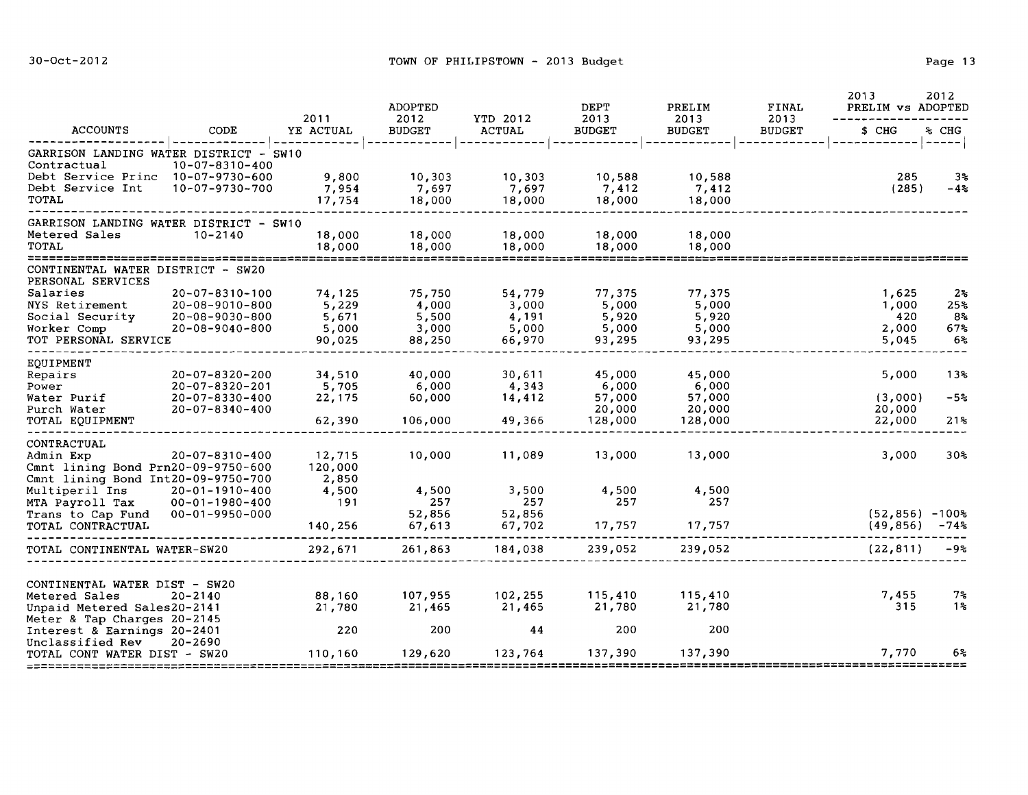|                                                                                                                         | CODE                                                                         |                                             | 2011                                        | <b>ADOPTED</b><br>2012                      | YTD 2012                                    | <b>DEPT</b><br>2013                         | PRELIM<br>2013 | FINAL<br>2013                           | 2013<br>PRELIM vs ADOPTED       | 2012 |
|-------------------------------------------------------------------------------------------------------------------------|------------------------------------------------------------------------------|---------------------------------------------|---------------------------------------------|---------------------------------------------|---------------------------------------------|---------------------------------------------|----------------|-----------------------------------------|---------------------------------|------|
| ACCOUNTS                                                                                                                |                                                                              | YE ACTUAL                                   | <b>BUDGET</b>                               | <b>ACTUAL</b>                               | <b>BUDGET</b>                               | <b>BUDGET</b>                               | <b>BUDGET</b>  | \$ CHG                                  | % CHG                           |      |
| GARRISON LANDING WATER DISTRICT - SW10<br>Contractual<br>Debt Service Princ 10-07-9730-600<br>Debt Service Int<br>TOTAL | 10-07-8310-400<br>10-07-9730-700                                             | 9,800<br>7,954<br>17,754                    | 10,303<br>7,697<br>18,000                   | 10,303<br>7,697<br>18,000                   | 10,588<br>7,412<br>18,000                   | 10,588<br>7,412<br>18,000                   |                | ------------- ----- <br>285<br>(285)    | 3%<br>$-4%$                     |      |
| GARRISON LANDING WATER DISTRICT - SW10<br>Metered Sales<br>TOTAL<br>*************************                           | $10 - 2140$                                                                  | 18,000<br>18,000                            | 18,000<br>18,000                            | 18,000<br>18,000                            | 18,000<br>18,000                            | 18,000<br>18,000                            |                |                                         |                                 |      |
| CONTINENTAL WATER DISTRICT - SW20<br>PERSONAL SERVICES                                                                  |                                                                              |                                             |                                             |                                             |                                             |                                             |                |                                         |                                 |      |
| Salaries<br>NYS Retirement<br>Social Security<br>Worker Comp<br>TOT PERSONAL SERVICE                                    | 20-07-8310-100<br>20-08-9010-800<br>$20 - 08 - 9030 - 800$<br>20-08-9040-800 | 74,125<br>5,229<br>5,671<br>5,000<br>90,025 | 75,750<br>4,000<br>5,500<br>3,000<br>88,250 | 54,779<br>3,000<br>4,191<br>5,000<br>66,970 | 77,375<br>5,000<br>5,920<br>5,000<br>93,295 | 77,375<br>5,000<br>5,920<br>5,000<br>93,295 |                | 1,625<br>1,000<br>420<br>2,000<br>5,045 | $2\%$<br>25%<br>8%<br>67%<br>6% |      |
| EOUIPMENT                                                                                                               | 20-07-8320-200                                                               | 34,510                                      | 40,000                                      | 30,611                                      | 45,000                                      | 45,000                                      |                | 5,000                                   | 13%                             |      |
| Repairs<br>Power<br>Water Purif<br>Purch Water<br>TOTAL EQUIPMENT                                                       | 20-07-8320-201<br>20-07-8330-400<br>$20 - 07 - 8340 - 400$                   | 5,705<br>22,175<br>62,390                   | 6,000<br>60,000<br>106,000                  | 4,343<br>14,412<br>49,366                   | 6,000<br>57,000<br>20,000<br>128,000        | 6,000<br>57,000<br>20,000<br>128,000        |                | (3,000)<br>20,000<br>22,000             | $-5%$<br>21%                    |      |
| CONTRACTUAL<br>Admin Exp<br>Cmnt lining Bond Prn20-09-9750-600<br>Cmnt lining Bond Int20-09-9750-700                    | 20-07-8310-400                                                               | 12,715<br>120,000<br>2,850                  | 10,000                                      | 11,089                                      | 13,000                                      | 13,000                                      |                | 3,000                                   | 30 <sub>8</sub>                 |      |
| Multiperil Ins<br>MTA Payroll Tax<br>Trans to Cap Fund<br>TOTAL CONTRACTUAL                                             | 20-01-1910-400<br>$00 - 01 - 1980 - 400$<br>00-01-9950-000                   | 4,500<br>191<br>140,256                     | 4,500<br>257<br>52,856<br>67,613            | 3,500<br>257<br>52,856<br>67,702            | 4,500<br>257<br>17,757                      | 4,500<br>257<br>17,757                      |                | $(52,856) - 100$ %<br>(49, 856)         | $-74%$                          |      |
| TOTAL CONTINENTAL WATER-SW20                                                                                            |                                                                              | 292,671                                     | 261,863                                     | 184,038                                     | 239,052                                     | 239,052                                     |                | (22, 811)                               | $-9.8$                          |      |
| CONTINENTAL WATER DIST - SW20                                                                                           |                                                                              |                                             |                                             |                                             |                                             |                                             |                |                                         |                                 |      |
| Metered Sales<br>Unpaid Metered Sales20-2141<br>Meter & Tap Charges 20-2145                                             | $20 - 2140$                                                                  | 88,160<br>21,780                            | 107,955<br>21,465                           | 102,255<br>21,465                           | 115,410<br>21,780                           | 115,410<br>21,780                           |                | 7,455<br>315                            | 7%<br>1%                        |      |
| Interest & Earnings 20-2401<br>Unclassified Rev<br>TOTAL CONT WATER DIST - SW20                                         | 20-2690                                                                      | 220<br>110,160                              | 200<br>129,620                              | 44<br>123,764                               | 200<br>137,390                              | 200<br>137,390                              |                | 7,770                                   | 6%                              |      |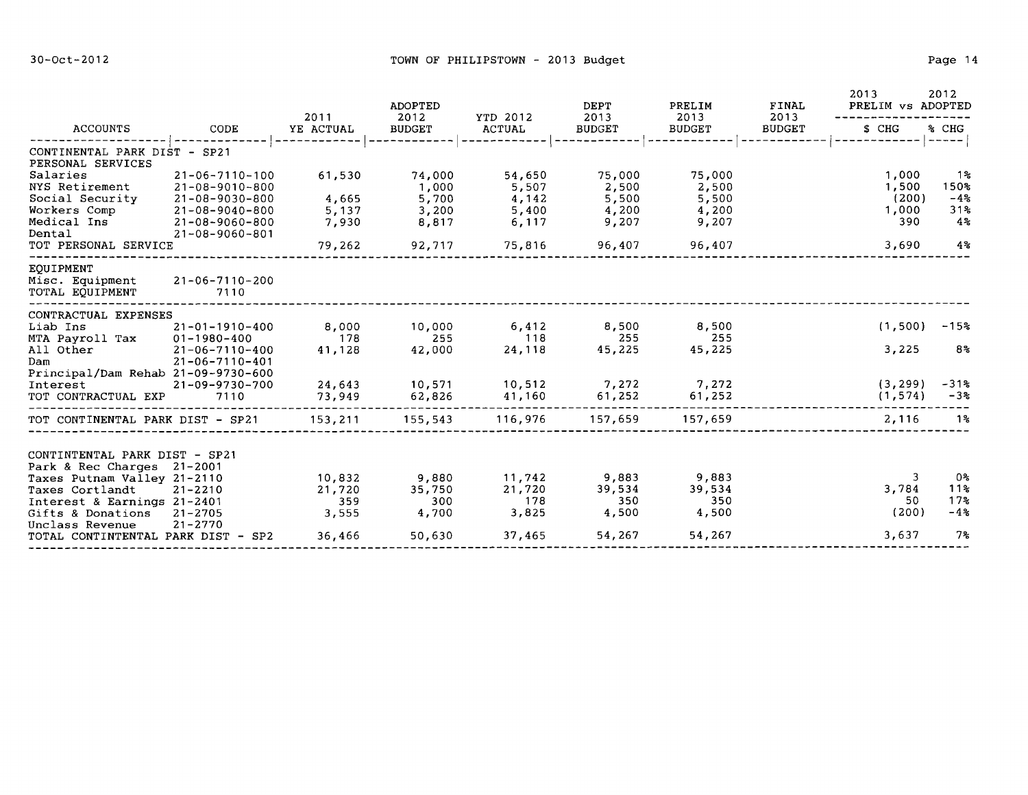|                                                                                            | 2011                                                      | ADOPTED<br>2012  | YTD 2012         | <b>DEPT</b><br>2013 | PRELIM<br>2013  | FINAL<br>2013 | 2013<br>PRELIM vs ADOPTED | 2012                      |
|--------------------------------------------------------------------------------------------|-----------------------------------------------------------|------------------|------------------|---------------------|-----------------|---------------|---------------------------|---------------------------|
| ACCOUNTS                                                                                   | CODE<br>YE ACTUAL                                         | <b>BUDGET</b>    | <b>ACTUAL</b>    | <b>BUDGET</b>       | <b>BUDGET</b>   | <b>BUDGET</b> | \$ CHG                    | % CHG<br>------           |
| CONTINENTAL PARK DIST - SP21<br>PERSONAL SERVICES                                          |                                                           |                  |                  |                     |                 |               |                           |                           |
| Salaries<br>NYS Retirement                                                                 | 21-06-7110-100<br>61,530<br>21-08-9010-800                | 74,000<br>1,000  | 54,650<br>5,507  | 75,000<br>2,500     | 75,000<br>2,500 |               | 1,000<br>1,500            | ୀ %<br>150%               |
| Social Security<br>Workers Comp                                                            | 4,665<br>21-08-9030-800<br>21-08-9040-800<br>5,137        | 5,700<br>3,200   | 4,142<br>5,400   | 5,500<br>4,200      | 5,500<br>4,200  |               | (200)<br>1,000            | $-4%$<br>31%              |
| Medical Ins<br>Dental                                                                      | 7,930<br>21-08-9060-800<br>$21 - 08 - 9060 - 801$         | 8,817            | 6,117            | 9,207               | 9,207           |               | 390                       | $4\%$                     |
| TOT PERSONAL SERVICE                                                                       | 79,262                                                    | 92,717           | 75,816           | 96,407              | 96,407          |               | 3,690                     | 4%                        |
| <b>EOUIPMENT</b><br>Misc. Equipment<br>TOTAL EQUIPMENT                                     | $21 - 06 - 7110 - 200$<br>7110                            |                  |                  |                     |                 |               |                           |                           |
| CONTRACTUAL EXPENSES                                                                       |                                                           |                  |                  |                     |                 |               |                           |                           |
| Liab Ins                                                                                   | $21 - 01 - 1910 - 400$<br>8,000                           | 10,000           | 6,412            | 8,500               | 8,500           |               | (1, 500)                  | $-15%$                    |
| MTA Payroll Tax<br>$01 - 1980 - 400$<br>All Other<br>Dam                                   | 178<br>41,128<br>21-06-7110-400<br>$21 - 06 - 7110 - 401$ | 255<br>42,000    | 118<br>24,118    | 255<br>45,225       | 255<br>45,225   |               | 3,225                     | 8 <sup>o</sup>            |
| Principal/Dam Rehab 21-09-9730-600<br>Interest<br>TOT CONTRACTUAL EXP                      | 24,643<br>21-09-9730-700<br>7110<br>73,949                | 10,571<br>62,826 | 10,512<br>41,160 | 7,272<br>61,252     | 7,272<br>61,252 |               | (3, 299)<br>(1, 574)      | $-31%$<br>$-3*$           |
| TOT CONTINENTAL PARK DIST - SP21                                                           | 153,211                                                   | 155,543          | 116,976          | 157,659             | 157,659         |               | 2,116                     | 1%                        |
| CONTINTENTAL PARK DIST - SP21<br>Park & Rec Charges 21-2001                                |                                                           |                  |                  |                     |                 |               |                           |                           |
| Taxes Putnam Valley 21-2110                                                                | 10,832                                                    | 9,880            | 11,742           | 9,883               | 9,883           |               | 3                         | 0%                        |
| Taxes Cortlandt<br>$21 - 2210$                                                             | 21,720                                                    | 35,750           | 21,720           | 39,534              | 39,534          |               | 3,784                     | 11 <sub>8</sub>           |
| Interest & Earnings 21-2401<br>Gifts & Donations 21-2705<br>Unclass Revenue<br>$21 - 2770$ | 359<br>3,555                                              | 300<br>4,700     | 178<br>3,825     | 350<br>4,500        | 350<br>4,500    |               | 50<br>(200)               | 17 <sub>8</sub><br>$-4.3$ |
| TOTAL CONTINTENTAL PARK DIST - SP2                                                         | 36,466                                                    | 50,630           | 37,465           | 54,267              | 54,267          |               | 3,637                     | 7%                        |